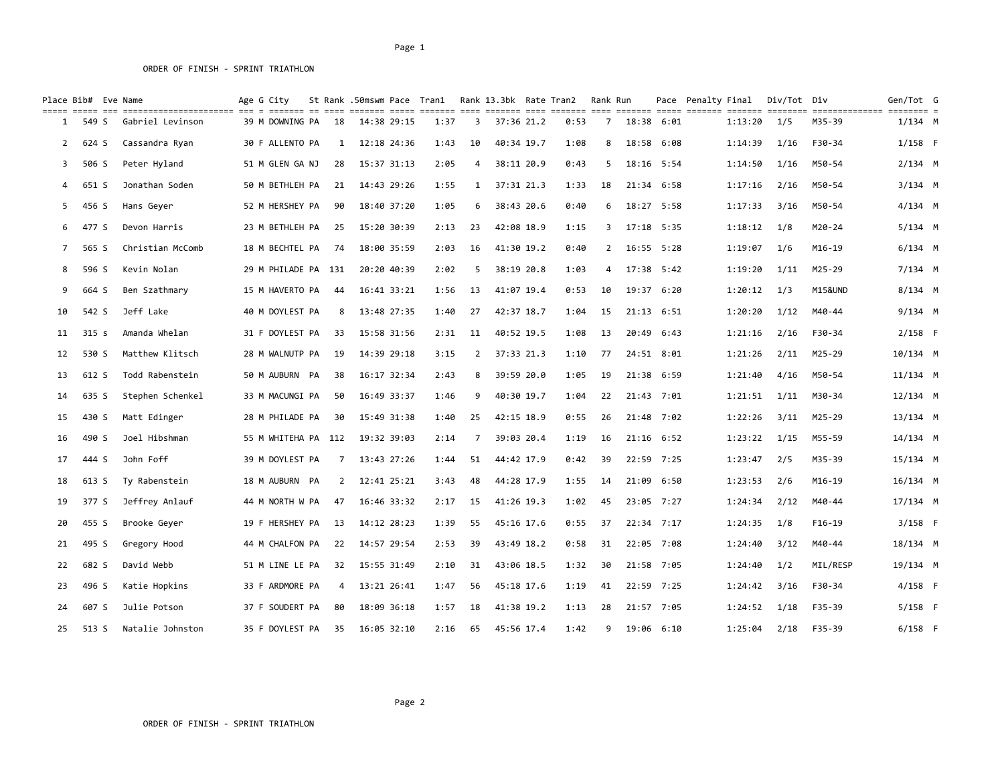# Page 1 ORDER OF FINISH - SPRINT TRIATHLON

|                | Place Bib# Eve Name |                                                                                                                                                                      | Age G City          |                |             | St Rank .50mswm Pace Tran1 |              | Rank 13.3bk Rate Tran2 |            |      | Rank Run    |       |                | Pace Penalty Final |         | Div/Tot Div |          | Gen/Tot G  |  |
|----------------|---------------------|----------------------------------------------------------------------------------------------------------------------------------------------------------------------|---------------------|----------------|-------------|----------------------------|--------------|------------------------|------------|------|-------------|-------|----------------|--------------------|---------|-------------|----------|------------|--|
| 1              | 549 S               | sicc ac concercionerance and a conce of cost and concerc and concercion and concercions and and concercionerance concercion and concercion and a<br>Gabriel Levinson | 39 M DOWNING PA     | 18             | 14:38 29:15 | 1:37                       | 3            |                        | 37:36 21.2 | 0:53 | 7           |       | 18:38 6:01     |                    | 1:13:20 | 1/5         | M35-39   | $1/134$ M  |  |
| $\overline{2}$ | 624 S               | Cassandra Ryan                                                                                                                                                       | 30 F ALLENTO PA     | 1              | 12:18 24:36 | 1:43                       | 10           |                        | 40:34 19.7 | 1:08 | 8           | 18:58 | 6:08           |                    | 1:14:39 | 1/16        | F30-34   | $1/158$ F  |  |
| 3              | 506 S               | Peter Hyland                                                                                                                                                         | 51 M GLEN GA NJ     | 28             | 15:37 31:13 | 2:05                       | 4            |                        | 38:11 20.9 | 0:43 | 5           | 18:16 | 5:54           |                    | 1:14:50 | 1/16        | M50-54   | $2/134$ M  |  |
| 4              | 651 S               | Jonathan Soden                                                                                                                                                       | 50 M BETHLEH PA     | 21             | 14:43 29:26 | 1:55                       | $\mathbf{1}$ | 37:31 21.3             |            | 1:33 | 18          |       | 21:34 6:58     |                    | 1:17:16 | 2/16        | M50-54   | $3/134$ M  |  |
| 5              | 456 S               | Hans Geyer                                                                                                                                                           | 52 M HERSHEY PA     | 90             | 18:40 37:20 | 1:05                       | 6            |                        | 38:43 20.6 | 0:40 | 6           |       | 18:27 5:58     |                    | 1:17:33 | 3/16        | M50-54   | $4/134$ M  |  |
| 6              | 477 S               | Devon Harris                                                                                                                                                         | 23 M BETHLEH PA     | 25             | 15:20 30:39 | 2:13                       | 23           |                        | 42:08 18.9 | 1:15 | 3           |       | 17:18 5:35     |                    | 1:18:12 | 1/8         | M20-24   | $5/134$ M  |  |
| $\overline{7}$ | 565 S               | Christian McComb                                                                                                                                                     | 18 M BECHTEL PA     | 74             | 18:00 35:59 | 2:03                       | 16           | 41:30 19.2             |            | 0:40 | $2^{\circ}$ |       | 16:55 5:28     |                    | 1:19:07 | 1/6         | M16-19   | $6/134$ M  |  |
| 8              | 596 S               | Kevin Nolan                                                                                                                                                          | 29 M PHILADE PA 131 |                | 20:20 40:39 | 2:02                       | 5            |                        | 38:19 20.8 | 1:03 | 4           |       | 17:38 5:42     |                    | 1:19:20 | 1/11        | M25-29   | $7/134$ M  |  |
| 9              | 664 S               | Ben Szathmary                                                                                                                                                        | 15 M HAVERTO PA     | -44            | 16:41 33:21 | 1:56                       | 13           |                        | 41:07 19.4 | 0:53 | 10          |       | 19:37 6:20     |                    | 1:20:12 | 1/3         | M15&UND  | $8/134$ M  |  |
| 10             | 542 S               | Jeff Lake                                                                                                                                                            | 40 M DOYLEST PA     | 8              | 13:48 27:35 | 1:40                       | 27           |                        | 42:37 18.7 | 1:04 | 15          |       | $21:13$ $6:51$ |                    | 1:20:20 | 1/12        | M40-44   | $9/134$ M  |  |
| 11             | 315 <sub>s</sub>    | Amanda Whelan                                                                                                                                                        | 31 F DOYLEST PA     | 33             | 15:58 31:56 | 2:31                       | 11           | 40:52 19.5             |            | 1:08 | 13          | 20:49 | 6:43           |                    | 1:21:16 | 2/16        | F30-34   | $2/158$ F  |  |
| 12             | 530 S               | Matthew Klitsch                                                                                                                                                      | 28 M WALNUTP PA     | 19             | 14:39 29:18 | 3:15                       | 2            | 37:33 21.3             |            | 1:10 | 77          |       | 24:51 8:01     |                    | 1:21:26 | 2/11        | M25-29   | 10/134 M   |  |
| 13             | 612 S               | Todd Rabenstein                                                                                                                                                      | 50 M AUBURN PA      | 38             | 16:17 32:34 | 2:43                       | 8            | 39:59 20.0             |            | 1:05 | 19          | 21:38 | 6:59           |                    | 1:21:40 | 4/16        | M50-54   | $11/134$ M |  |
| 14             | 635 S               | Stephen Schenkel                                                                                                                                                     | 33 M MACUNGI PA     | 50             | 16:49 33:37 | 1:46                       | 9            | 40:30 19.7             |            | 1:04 | 22          |       | 21:43 7:01     |                    | 1:21:51 | 1/11        | M30-34   | $12/134$ M |  |
| 15             | 430 S               | Matt Edinger                                                                                                                                                         | 28 M PHILADE PA     | 30             | 15:49 31:38 | 1:40                       | 25           |                        | 42:15 18.9 | 0:55 | 26          |       | 21:48 7:02     |                    | 1:22:26 | 3/11        | M25-29   | $13/134$ M |  |
| 16             | 490 S               | Joel Hibshman                                                                                                                                                        | 55 M WHITEHA PA 112 |                | 19:32 39:03 | 2:14                       | 7            |                        | 39:03 20.4 | 1:19 | 16          |       | $21:16$ $6:52$ |                    | 1:23:22 | 1/15        | M55-59   | 14/134 M   |  |
| 17             | 444 S               | John Foff                                                                                                                                                            | 39 M DOYLEST PA     | 7              | 13:43 27:26 | 1:44                       | 51           |                        | 44:42 17.9 | 0:42 | 39          |       | 22:59 7:25     |                    | 1:23:47 | 2/5         | M35-39   | 15/134 M   |  |
| 18             | 613 S               | Ty Rabenstein                                                                                                                                                        | 18 M AUBURN PA      | $\overline{2}$ | 12:41 25:21 | 3:43                       | 48           |                        | 44:28 17.9 | 1:55 | 14          |       | 21:09 6:50     |                    | 1:23:53 | 2/6         | M16-19   | $16/134$ M |  |
| 19             | 377 S               | Jeffrey Anlauf                                                                                                                                                       | 44 M NORTH W PA     | 47             | 16:46 33:32 | 2:17                       | 15           |                        | 41:26 19.3 | 1:02 | 45          |       | 23:05 7:27     |                    | 1:24:34 | 2/12        | M40-44   | 17/134 M   |  |
| 20             | 455 S               | Brooke Geyer                                                                                                                                                         | 19 F HERSHEY PA     | 13             | 14:12 28:23 | 1:39                       | 55           |                        | 45:16 17.6 | 0:55 | 37          |       | 22:34 7:17     |                    | 1:24:35 | 1/8         | $F16-19$ | $3/158$ F  |  |
| 21             | 495 S               | Gregory Hood                                                                                                                                                         | 44 M CHALFON PA     | 22             | 14:57 29:54 | 2:53                       | 39           |                        | 43:49 18.2 | 0:58 | 31          |       | 22:05 7:08     |                    | 1:24:40 | 3/12        | M40-44   | 18/134 M   |  |
| 22             | 682 S               | David Webb                                                                                                                                                           | 51 M LINE LE PA     | 32             | 15:55 31:49 | 2:10                       | 31           |                        | 43:06 18.5 | 1:32 | 30          |       | 21:58 7:05     |                    | 1:24:40 | 1/2         | MIL/RESP | 19/134 M   |  |
| 23             | 496 S               | Katie Hopkins                                                                                                                                                        | 33 F ARDMORE PA     | 4              | 13:21 26:41 | 1:47                       | 56           |                        | 45:18 17.6 | 1:19 | 41          |       | 22:59 7:25     |                    | 1:24:42 | 3/16        | F30-34   | $4/158$ F  |  |
| 24             | 607 S               | Julie Potson                                                                                                                                                         | 37 F SOUDERT PA     | 80             | 18:09 36:18 | 1:57                       | 18           |                        | 41:38 19.2 | 1:13 | 28          |       | 21:57 7:05     |                    | 1:24:52 | 1/18        | F35-39   | $5/158$ F  |  |
| 25             | 513 S               | Natalie Johnston                                                                                                                                                     | 35 F DOYLEST PA     | 35             | 16:05 32:10 | 2:16                       | 65           |                        | 45:56 17.4 | 1:42 | 9           |       | 19:06 6:10     |                    | 1:25:04 | 2/18        | F35-39   | $6/158$ F  |  |

ORDER OF FINISH - SPRINT TRIATHLON

Page 2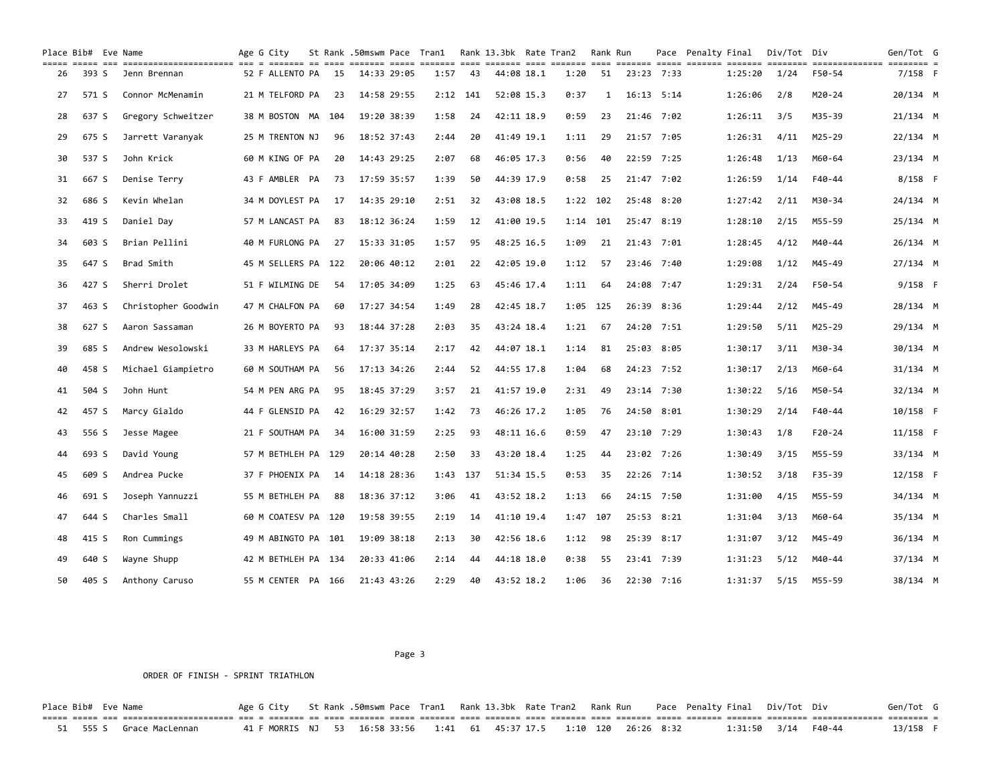| Place Bib# Eve Name |       | ticl office and concertive comparison of the control office of the control office office office office office office office office office of the control of the control of the control of the control of the control of the co | Age G City |                     |    |             |             | St Rank .50mswm Pace Tran1 Rank 13.3bk Rate Tran2 |            |            |      | Rank Run |                | Pace Penalty Final |         | Div/Tot Div |          | Gen/Tot G  |  |
|---------------------|-------|--------------------------------------------------------------------------------------------------------------------------------------------------------------------------------------------------------------------------------|------------|---------------------|----|-------------|-------------|---------------------------------------------------|------------|------------|------|----------|----------------|--------------------|---------|-------------|----------|------------|--|
| 26                  | 393 S | Jenn Brennan                                                                                                                                                                                                                   |            | 52 F ALLENTO PA     | 15 | 14:33 29:05 |             | 1:57                                              | 43         | 44:08 18.1 | 1:20 | 51       | 23:23 7:33     |                    | 1:25:20 | 1/24        | F50-54   | $7/158$ F  |  |
| 27                  | 571 S | Connor McMenamin                                                                                                                                                                                                               |            | 21 M TELFORD PA     | 23 | 14:58 29:55 |             |                                                   | $2:12$ 141 | 52:08 15.3 | 0:37 | 1        | $16:13$ $5:14$ |                    | 1:26:06 | 2/8         | M20-24   | 20/134 M   |  |
| 28                  | 637 S | Gregory Schweitzer                                                                                                                                                                                                             |            | 38 M BOSTON MA 104  |    | 19:20 38:39 |             | 1:58                                              | 24         | 42:11 18.9 | 0:59 | 23       | 21:46 7:02     |                    | 1:26:11 | 3/5         | M35-39   | 21/134 M   |  |
| 29                  | 675 S | Jarrett Varanyak                                                                                                                                                                                                               |            | 25 M TRENTON NJ     | 96 | 18:52 37:43 |             | 2:44                                              | 20         | 41:49 19.1 | 1:11 | 29       | 21:57 7:05     |                    | 1:26:31 | 4/11        | M25-29   | 22/134 M   |  |
| 30                  | 537 S | John Krick                                                                                                                                                                                                                     |            | 60 M KING OF PA     | 20 | 14:43 29:25 |             | 2:07                                              | 68         | 46:05 17.3 | 0:56 | 40       | 22:59 7:25     |                    | 1:26:48 | 1/13        | M60-64   | 23/134 M   |  |
| 31                  | 667 S | Denise Terry                                                                                                                                                                                                                   |            | 43 F AMBLER PA      | 73 | 17:59 35:57 |             | 1:39                                              | 50         | 44:39 17.9 | 0:58 | 25       | 21:47 7:02     |                    | 1:26:59 | 1/14        | F40-44   | $8/158$ F  |  |
| 32                  | 686 S | Kevin Whelan                                                                                                                                                                                                                   |            | 34 M DOYLEST PA     | 17 | 14:35 29:10 |             | 2:51                                              | 32         | 43:08 18.5 |      | 1:22 102 | 25:48 8:20     |                    | 1:27:42 | 2/11        | M30-34   | 24/134 M   |  |
| 33                  | 419 S | Daniel Day                                                                                                                                                                                                                     |            | 57 M LANCAST PA     | 83 | 18:12 36:24 |             | 1:59                                              | 12         | 41:00 19.5 | 1:14 | 101      | 25:47 8:19     |                    | 1:28:10 | 2/15        | M55-59   | 25/134 M   |  |
| 34                  | 603 S | Brian Pellini                                                                                                                                                                                                                  |            | 40 M FURLONG PA     | 27 | 15:33 31:05 |             | 1:57                                              | 95         | 48:25 16.5 | 1:09 | 21       | 21:43 7:01     |                    | 1:28:45 | 4/12        | M40-44   | 26/134 M   |  |
| 35                  | 647 S | Brad Smith                                                                                                                                                                                                                     |            | 45 M SELLERS PA 122 |    |             | 20:06 40:12 | 2:01                                              | 22         | 42:05 19.0 | 1:12 | 57       | 23:46 7:40     |                    | 1:29:08 | 1/12        | M45-49   | 27/134 M   |  |
| 36                  | 427 S | Sherri Drolet                                                                                                                                                                                                                  |            | 51 F WILMING DE     | 54 | 17:05 34:09 |             | 1:25                                              | 63         | 45:46 17.4 | 1:11 | 64       | 24:08 7:47     |                    | 1:29:31 | 2/24        | F50-54   | $9/158$ F  |  |
| 37                  | 463 S | Christopher Goodwin                                                                                                                                                                                                            |            | 47 M CHALFON PA     | 60 | 17:27 34:54 |             | 1:49                                              | 28         | 42:45 18.7 | 1:05 | 125      | 26:39 8:36     |                    | 1:29:44 | 2/12        | M45-49   | 28/134 M   |  |
| 38                  | 627 S | Aaron Sassaman                                                                                                                                                                                                                 |            | 26 M BOYERTO PA     | 93 | 18:44 37:28 |             | 2:03                                              | 35         | 43:24 18.4 | 1:21 | 67       | 24:20 7:51     |                    | 1:29:50 | 5/11        | M25-29   | 29/134 M   |  |
| 39                  | 685 S | Andrew Wesolowski                                                                                                                                                                                                              |            | 33 M HARLEYS PA     | 64 | 17:37 35:14 |             | 2:17                                              | 42         | 44:07 18.1 | 1:14 | 81       | 25:03 8:05     |                    | 1:30:17 | 3/11        | M30-34   | 30/134 M   |  |
| 40                  | 458 S | Michael Giampietro                                                                                                                                                                                                             |            | 60 M SOUTHAM PA     | 56 | 17:13 34:26 |             | 2:44                                              | 52         | 44:55 17.8 | 1:04 | 68       | 24:23 7:52     |                    | 1:30:17 | 2/13        | M60-64   | 31/134 M   |  |
| 41                  | 504 S | John Hunt                                                                                                                                                                                                                      |            | 54 M PEN ARG PA     | 95 | 18:45 37:29 |             | 3:57                                              | 21         | 41:57 19.0 | 2:31 | 49       | 23:14 7:30     |                    | 1:30:22 | 5/16        | M50-54   | 32/134 M   |  |
| 42                  | 457 S | Marcy Gialdo                                                                                                                                                                                                                   |            | 44 F GLENSID PA     | 42 | 16:29 32:57 |             | 1:42                                              | 73         | 46:26 17.2 | 1:05 | 76       | 24:50 8:01     |                    | 1:30:29 | 2/14        | F40-44   | $10/158$ F |  |
| 43                  | 556 S | Jesse Magee                                                                                                                                                                                                                    |            | 21 F SOUTHAM PA     | 34 | 16:00 31:59 |             | 2:25                                              | 93         | 48:11 16.6 | 0:59 | 47       | 23:10 7:29     |                    | 1:30:43 | 1/8         | $F20-24$ | $11/158$ F |  |
| 44                  | 693 S | David Young                                                                                                                                                                                                                    |            | 57 M BETHLEH PA 129 |    |             | 20:14 40:28 | 2:50                                              | 33         | 43:20 18.4 | 1:25 | 44       | 23:02 7:26     |                    | 1:30:49 | 3/15        | M55-59   | 33/134 M   |  |
| 45                  | 609 S | Andrea Pucke                                                                                                                                                                                                                   |            | 37 F PHOENIX PA     | 14 | 14:18 28:36 |             | 1:43 137                                          |            | 51:34 15.5 | 0:53 | 35       | 22:26 7:14     |                    | 1:30:52 | 3/18        | F35-39   | $12/158$ F |  |
| 46                  | 691 S | Joseph Yannuzzi                                                                                                                                                                                                                |            | 55 M BETHLEH PA     | 88 | 18:36 37:12 |             | 3:06                                              | 41         | 43:52 18.2 | 1:13 | 66       | 24:15 7:50     |                    | 1:31:00 | 4/15        | M55-59   | 34/134 M   |  |
| 47                  | 644 S | Charles Small                                                                                                                                                                                                                  |            | 60 M COATESV PA 120 |    | 19:58 39:55 |             | 2:19                                              | 14         | 41:10 19.4 | 1:47 | 107      | 25:53 8:21     |                    | 1:31:04 | 3/13        | M60-64   | 35/134 M   |  |
| 48                  | 415 S | Ron Cummings                                                                                                                                                                                                                   |            | 49 M ABINGTO PA 101 |    | 19:09 38:18 |             | 2:13                                              | 30         | 42:56 18.6 | 1:12 | 98       | 25:39 8:17     |                    | 1:31:07 | 3/12        | M45-49   | 36/134 M   |  |
| 49                  | 640 S | Wayne Shupp                                                                                                                                                                                                                    |            | 42 M BETHLEH PA 134 |    |             | 20:33 41:06 | 2:14                                              | 44         | 44:18 18.0 | 0:38 | 55       | 23:41 7:39     |                    | 1:31:23 | 5/12        | M40-44   | 37/134 M   |  |
| 50                  | 405 S | Anthony Caruso                                                                                                                                                                                                                 |            | 55 M CENTER PA 166  |    |             | 21:43 43:26 | 2:29                                              | 40         | 43:52 18.2 | 1:06 | 36       | 22:30 7:16     |                    | 1:31:37 | 5/15        | M55-59   | 38/134 M   |  |

#### Page 3 and the state of the state of the state of the state of the state of the state of the state of the state of the state of the state of the state of the state of the state of the state of the state of the state of the

### ORDER OF FINISH - SPRINT TRIATHLON

Place Bib# Eve Name Age G City St Rank .50mswm Pace Tran1 Rank 13.3bk Rate Tran2 Rank Run Pace Penalty Final Div/Tot Div Gen/Tot G ===== ===== === ====================== === = ======= == ==== ======= ===== ======= ==== ======= ==== ======= ==== ======= ===== ======= ======= ======== ============== ======== = 51 555 S Grace MacLennan 41 F MORRIS NJ 53 16:58 33:56 1:41 61 45:37 17.5 1:10 120 26:26 8:32 1:31:50 3/14 F40-44 13/158 F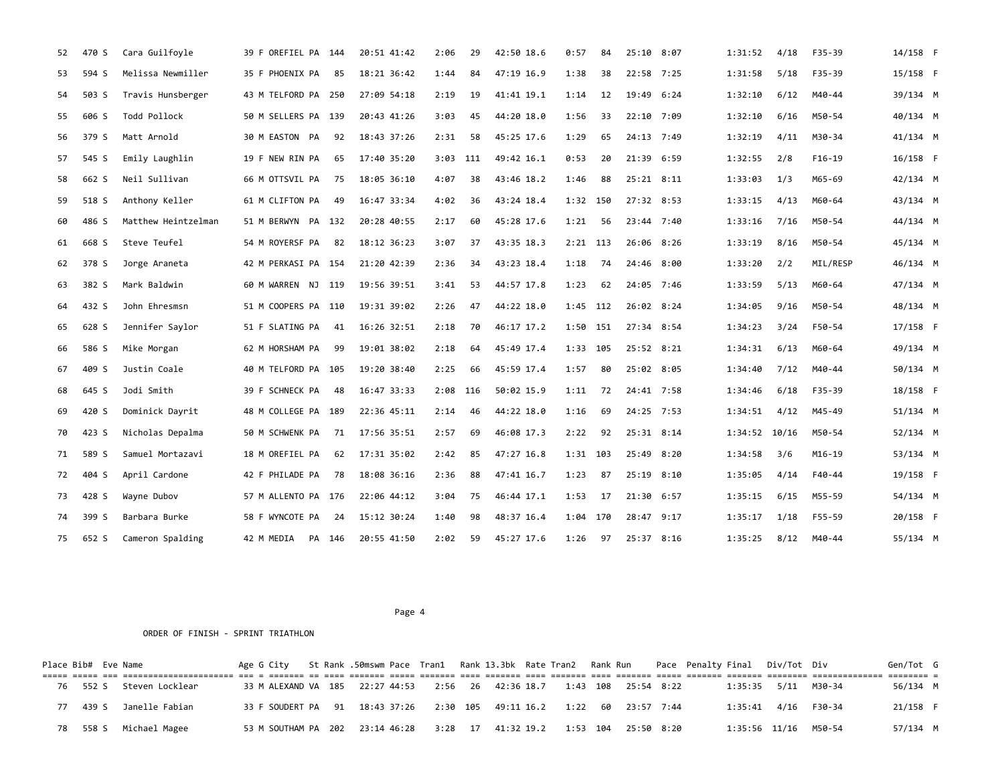| 52 | 470 S | Cara Guilfoyle      | 39 F OREFIEL PA 144 |        | 20:51 41:42 | 2:06       | 29  | 42:50 18.6 | 0:57       | 84 | 25:10 8:07 | 1:31:52 | 4/18  | F35-39   | 14/158 F   |  |
|----|-------|---------------------|---------------------|--------|-------------|------------|-----|------------|------------|----|------------|---------|-------|----------|------------|--|
| 53 | 594 S | Melissa Newmiller   | 35 F PHOENIX PA     | 85     | 18:21 36:42 | 1:44       | 84  | 47:19 16.9 | 1:38       | 38 | 22:58 7:25 | 1:31:58 | 5/18  | F35-39   | 15/158 F   |  |
| 54 | 503 S | Travis Hunsberger   | 43 M TELFORD PA 250 |        | 27:09 54:18 | 2:19       | 19  | 41:41 19.1 | 1:14       | 12 | 19:49 6:24 | 1:32:10 | 6/12  | M40-44   | 39/134 M   |  |
| 55 | 606 S | Todd Pollock        | 50 M SELLERS PA 139 |        | 20:43 41:26 | 3:03       | 45  | 44:20 18.0 | 1:56       | 33 | 22:10 7:09 | 1:32:10 | 6/16  | M50-54   | 40/134 M   |  |
| 56 | 379 S | Matt Arnold         | 30 M EASTON PA      | 92     | 18:43 37:26 | 2:31       | 58  | 45:25 17.6 | 1:29       | 65 | 24:13 7:49 | 1:32:19 | 4/11  | M30-34   | 41/134 M   |  |
| 57 | 545 S | Emily Laughlin      | 19 F NEW RIN PA     | 65     | 17:40 35:20 | 3:03       | 111 | 49:42 16.1 | 0:53       | 20 | 21:39 6:59 | 1:32:55 | 2/8   | $F16-19$ | $16/158$ F |  |
| 58 | 662 S | Neil Sullivan       | 66 M OTTSVIL PA     | 75     | 18:05 36:10 | 4:07       | 38  | 43:46 18.2 | 1:46       | 88 | 25:21 8:11 | 1:33:03 | 1/3   | M65-69   | 42/134 M   |  |
| 59 | 518 S | Anthony Keller      | 61 M CLIFTON PA     | 49     | 16:47 33:34 | 4:02       | 36  | 43:24 18.4 | 1:32 150   |    | 27:32 8:53 | 1:33:15 | 4/13  | M60-64   | 43/134 M   |  |
| 60 | 486 S | Matthew Heintzelman | 51 M BERWYN PA 132  |        | 20:28 40:55 | 2:17       | 60  | 45:28 17.6 | 1:21       | 56 | 23:44 7:40 | 1:33:16 | 7/16  | M50-54   | 44/134 M   |  |
| 61 | 668 S | Steve Teufel        | 54 M ROYERSF PA     | 82     | 18:12 36:23 | 3:07       | 37  | 43:35 18.3 | $2:21$ 113 |    | 26:06 8:26 | 1:33:19 | 8/16  | M50-54   | 45/134 M   |  |
| 62 | 378 S | Jorge Araneta       | 42 M PERKASI PA 154 |        | 21:20 42:39 | 2:36       | 34  | 43:23 18.4 | 1:18       | 74 | 24:46 8:00 | 1:33:20 | 2/2   | MIL/RESP | 46/134 M   |  |
| 63 | 382 S | Mark Baldwin        | 60 M WARREN NJ 119  |        | 19:56 39:51 | 3:41       | 53  | 44:57 17.8 | 1:23       | 62 | 24:05 7:46 | 1:33:59 | 5/13  | M60-64   | 47/134 M   |  |
| 64 | 432 S | John Ehresmsn       | 51 M COOPERS PA 110 |        | 19:31 39:02 | 2:26       | 47  | 44:22 18.0 | 1:45 112   |    | 26:02 8:24 | 1:34:05 | 9/16  | M50-54   | 48/134 M   |  |
| 65 | 628 S | Jennifer Saylor     | 51 F SLATING PA     | 41     | 16:26 32:51 | 2:18       | 70  | 46:17 17.2 | 1:50 151   |    | 27:34 8:54 | 1:34:23 | 3/24  | F50-54   | 17/158 F   |  |
| 66 | 586 S | Mike Morgan         | 62 M HORSHAM PA     | 99     | 19:01 38:02 | 2:18       | 64  | 45:49 17.4 | 1:33 105   |    | 25:52 8:21 | 1:34:31 | 6/13  | M60-64   | 49/134 M   |  |
| 67 | 409 S | Justin Coale        | 40 M TELFORD PA 105 |        | 19:20 38:40 | 2:25       | 66  | 45:59 17.4 | 1:57       | 80 | 25:02 8:05 | 1:34:40 | 7/12  | M40-44   | 50/134 M   |  |
| 68 | 645 S | Jodi Smith          | 39 F SCHNECK PA     | 48     | 16:47 33:33 | $2:08$ 116 |     | 50:02 15.9 | 1:11       | 72 | 24:41 7:58 | 1:34:46 | 6/18  | F35-39   | 18/158 F   |  |
| 69 | 420 S | Dominick Dayrit     | 48 M COLLEGE PA 189 |        | 22:36 45:11 | 2:14       | 46  | 44:22 18.0 | 1:16       | 69 | 24:25 7:53 | 1:34:51 | 4/12  | M45-49   | 51/134 M   |  |
| 70 | 423 S | Nicholas Depalma    | 50 M SCHWENK PA     | 71     | 17:56 35:51 | 2:57       | 69  | 46:08 17.3 | 2:22       | 92 | 25:31 8:14 | 1:34:52 | 10/16 | M50-54   | 52/134 M   |  |
| 71 | 589 S | Samuel Mortazavi    | 18 M OREFIEL PA     | 62     | 17:31 35:02 | 2:42       | 85  | 47:27 16.8 | 1:31 103   |    | 25:49 8:20 | 1:34:58 | 3/6   | M16-19   | 53/134 M   |  |
| 72 | 404 S | April Cardone       | 42 F PHILADE PA     | 78     | 18:08 36:16 | 2:36       | 88  | 47:41 16.7 | 1:23       | 87 | 25:19 8:10 | 1:35:05 | 4/14  | F40-44   | 19/158 F   |  |
| 73 | 428 S | Wayne Dubov         | 57 M ALLENTO PA 176 |        | 22:06 44:12 | 3:04       | 75  | 46:44 17.1 | 1:53       | 17 | 21:30 6:57 | 1:35:15 | 6/15  | M55-59   | 54/134 M   |  |
| 74 | 399 S | Barbara Burke       | 58 F WYNCOTE PA     | 24     | 15:12 30:24 | 1:40       | 98  | 48:37 16.4 | 1:04 170   |    | 28:47 9:17 | 1:35:17 | 1/18  | F55-59   | 20/158 F   |  |
| 75 | 652 S | Cameron Spalding    | 42 M MEDIA          | PA 146 | 20:55 41:50 | 2:02       | 59  | 45:27 17.6 | 1:26       | 97 | 25:37 8:16 | 1:35:25 | 8/12  | M40-44   | 55/134 M   |  |

| Place Bib# Eve Name |  |                                                                                                                                                   |                                                                                 |  |  |  |  |  |  | Age G City St Rank .50mswm Pace Tran1 Rank 13.3bk Rate Tran2 Rank Run Pace Penalty Final Div/Tot Div |                      | Gen/Tot G |  |
|---------------------|--|---------------------------------------------------------------------------------------------------------------------------------------------------|---------------------------------------------------------------------------------|--|--|--|--|--|--|------------------------------------------------------------------------------------------------------|----------------------|-----------|--|
|                     |  | <u>tion cool to concolocalized as a cools of cools cools cool cools and cools and cools cools cools cools cools concolocalized and a cools of</u> |                                                                                 |  |  |  |  |  |  |                                                                                                      |                      |           |  |
|                     |  | 76 552 S Steven Locklear                                                                                                                          | 33 M ALEXAND VA 185 22:27 44:53 2:56 26 42:36 18.7 1:43 108 25:54 8:22          |  |  |  |  |  |  |                                                                                                      |                      | 56/134 M  |  |
|                     |  | 77 439 S Janelle Fabian                                                                                                                           | 33 F SOUDERT PA 91 18:43 37:26 2:30 105 49:11 16.2 1:22 60 23:57 7:44           |  |  |  |  |  |  |                                                                                                      | 1:35:41 4/16 F30-34  | 21/158 F  |  |
|                     |  | 78 558 S Michael Magee                                                                                                                            | 53 M SOUTHAM PA 202  23:14 46:28  3:28  17  41:32  19.2  1:53  104  25:50  8:20 |  |  |  |  |  |  |                                                                                                      | 1:35:56 11/16 M50-54 | 57/134 M  |  |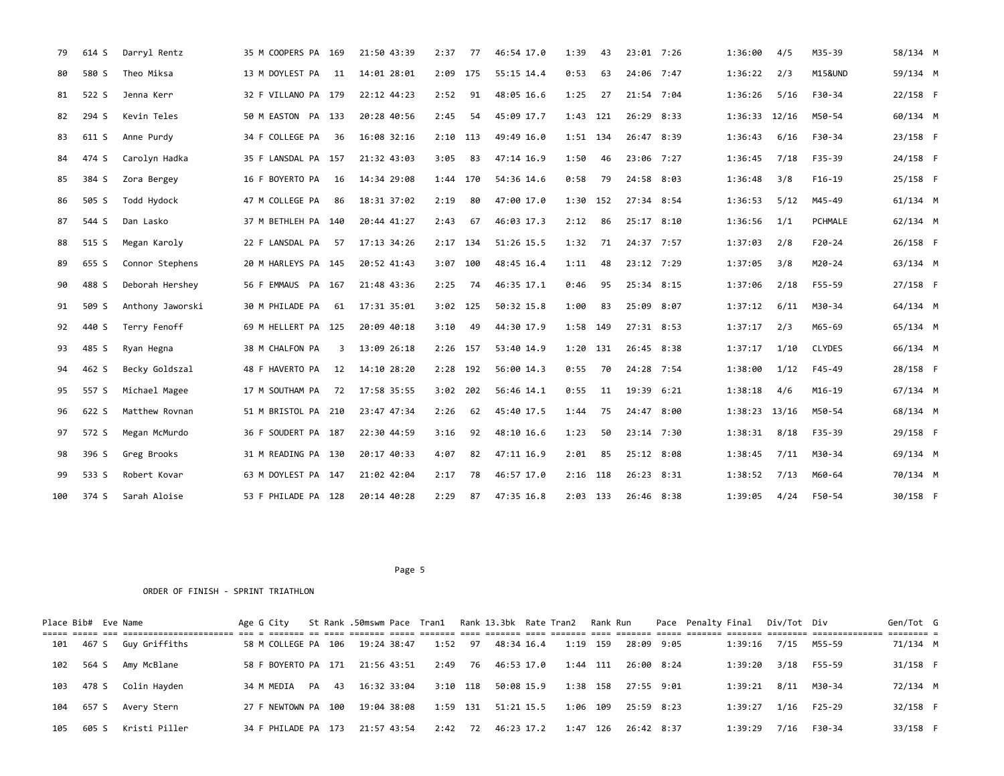| 79  | 614 S | Darryl Rentz     | 35 M COOPERS PA 169 |    | 21:50 43:39 | 2:37       | 77  | 46:54 17.0 | 1:39       | 43 | 23:01 7:26 | 1:36:00           | 4/5   | M35-39   | 58/134 M   |  |
|-----|-------|------------------|---------------------|----|-------------|------------|-----|------------|------------|----|------------|-------------------|-------|----------|------------|--|
| 80  | 580 S | Theo Miksa       | 13 M DOYLEST PA     | 11 | 14:01 28:01 | 2:09 175   |     | 55:15 14.4 | 0:53       | 63 | 24:06 7:47 | 1:36:22           | 2/3   | M15&UND  | 59/134 M   |  |
| 81  | 522 S | Jenna Kerr       | 32 F VILLANO PA 179 |    | 22:12 44:23 | 2:52       | 91  | 48:05 16.6 | 1:25       | 27 | 21:54 7:04 | 1:36:26           | 5/16  | F30-34   | 22/158 F   |  |
| 82  | 294 S | Kevin Teles      | 50 M EASTON PA 133  |    | 20:28 40:56 | 2:45       | 54  | 45:09 17.7 | 1:43 121   |    | 26:29 8:33 | $1:36:33$ $12/16$ |       | M50-54   | 60/134 M   |  |
| 83  | 611 S | Anne Purdy       | 34 F COLLEGE PA     | 36 | 16:08 32:16 | 2:10       | 113 | 49:49 16.0 | 1:51 134   |    | 26:47 8:39 | 1:36:43           | 6/16  | F30-34   | 23/158 F   |  |
| 84  | 474 S | Carolyn Hadka    | 35 F LANSDAL PA 157 |    | 21:32 43:03 | 3:05       | 83  | 47:14 16.9 | 1:50       | 46 | 23:06 7:27 | 1:36:45           | 7/18  | F35-39   | 24/158 F   |  |
| 85  | 384 S | Zora Bergey      | 16 F BOYERTO PA     | 16 | 14:34 29:08 | 1:44       | 170 | 54:36 14.6 | 0:58       | 79 | 24:58 8:03 | 1:36:48           | 3/8   | $F16-19$ | 25/158 F   |  |
| 86  | 505 S | Todd Hydock      | 47 M COLLEGE PA     | 86 | 18:31 37:02 | 2:19       | 80  | 47:00 17.0 | 1:30 152   |    | 27:34 8:54 | 1:36:53           | 5/12  | M45-49   | $61/134$ M |  |
| 87  | 544 S | Dan Lasko        | 37 M BETHLEH PA 140 |    | 20:44 41:27 | 2:43       | 67  | 46:03 17.3 | 2:12       | 86 | 25:17 8:10 | 1:36:56           | 1/1   | PCHMALE  | $62/134$ M |  |
| 88  | 515 S | Megan Karoly     | 22 F LANSDAL PA     | 57 | 17:13 34:26 | 2:17       | 134 | 51:26 15.5 | 1:32       | 71 | 24:37 7:57 | 1:37:03           | 2/8   | $F20-24$ | 26/158 F   |  |
| 89  | 655 S | Connor Stephens  | 20 M HARLEYS PA 145 |    | 20:52 41:43 | $3:07$ 100 |     | 48:45 16.4 | 1:11       | 48 | 23:12 7:29 | 1:37:05           | 3/8   | M20-24   | 63/134 M   |  |
| 90  | 488 S | Deborah Hershey  | 56 F EMMAUS PA 167  |    | 21:48 43:36 | 2:25       | 74  | 46:35 17.1 | 0:46       | 95 | 25:34 8:15 | 1:37:06           | 2/18  | F55-59   | 27/158 F   |  |
| 91  | 509 S | Anthony Jaworski | 30 M PHILADE PA     | 61 | 17:31 35:01 | $3:02$ 125 |     | 50:32 15.8 | 1:00       | 83 | 25:09 8:07 | 1:37:12           | 6/11  | M30-34   | 64/134 M   |  |
| 92  | 440 S | Terry Fenoff     | 69 M HELLERT PA 125 |    | 20:09 40:18 | 3:10       | 49  | 44:30 17.9 | 1:58 149   |    | 27:31 8:53 | 1:37:17           | 2/3   | M65-69   | 65/134 M   |  |
| 93  | 485 S | Ryan Hegna       | 38 M CHALFON PA     | 3  | 13:09 26:18 | 2:26 157   |     | 53:40 14.9 | 1:20 131   |    | 26:45 8:38 | 1:37:17           | 1/10  | CLYDES   | 66/134 M   |  |
| 94  | 462 S | Becky Goldszal   | 48 F HAVERTO PA     | 12 | 14:10 28:20 | 2:28       | 192 | 56:00 14.3 | 0:55       | 70 | 24:28 7:54 | 1:38:00           | 1/12  | F45-49   | 28/158 F   |  |
| 95  | 557 S | Michael Magee    | 17 M SOUTHAM PA     | 72 | 17:58 35:55 | 3:02       | 202 | 56:46 14.1 | 0:55       | 11 | 19:39 6:21 | 1:38:18           | 4/6   | M16-19   | 67/134 M   |  |
| 96  | 622 S | Matthew Rovnan   | 51 M BRISTOL PA 210 |    | 23:47 47:34 | 2:26       | 62  | 45:40 17.5 | 1:44       | 75 | 24:47 8:00 | 1:38:23           | 13/16 | M50-54   | 68/134 M   |  |
| 97  | 572 S | Megan McMurdo    | 36 F SOUDERT PA 187 |    | 22:30 44:59 | 3:16       | 92  | 48:10 16.6 | 1:23       | 50 | 23:14 7:30 | 1:38:31           | 8/18  | F35-39   | 29/158 F   |  |
| 98  | 396 S | Greg Brooks      | 31 M READING PA 130 |    | 20:17 40:33 | 4:07       | 82  | 47:11 16.9 | 2:01       | 85 | 25:12 8:08 | 1:38:45           | 7/11  | M30-34   | 69/134 M   |  |
| 99  | 533 S | Robert Kovar     | 63 M DOYLEST PA 147 |    | 21:02 42:04 | 2:17       | 78  | 46:57 17.0 | $2:16$ 118 |    | 26:23 8:31 | 1:38:52           | 7/13  | M60-64   | 70/134 M   |  |
| 100 | 374 S | Sarah Aloise     | 53 F PHILADE PA 128 |    | 20:14 40:28 | 2:29       | 87  | 47:35 16.8 | $2:03$ 133 |    | 26:46 8:38 | 1:39:05           | 4/24  | F50-54   | 30/158 F   |  |

|     | Place Bib# Eve Name |               | Age G City          |  | St Rank .50mswm Pace Tran1 Rank 13.3bk Rate Tran2 Rank Run |            |    |            |  |          |            | Pace Penalty Final |         | Div/Tot Div |        | Gen/Tot G |  |
|-----|---------------------|---------------|---------------------|--|------------------------------------------------------------|------------|----|------------|--|----------|------------|--------------------|---------|-------------|--------|-----------|--|
| 101 | 467 S               | Guy Griffiths | 58 M COLLEGE PA 106 |  | 19:24 38:47                                                | 1:52 97    |    | 48:34 16.4 |  | 1:19 159 | 28:09 9:05 |                    | 1:39:16 | 7/15        | M55-59 | 71/134 M  |  |
| 102 | 564 S               | Amy McBlane   | 58 F BOYERTO PA 171 |  | 21:56 43:51                                                | 2:49       | 76 | 46:53 17.0 |  | 1:44 111 | 26:00 8:24 |                    | 1:39:20 | 3/18        | F55-59 | 31/158 F  |  |
| 103 | 478 S               | Colin Hayden  | 34 M MEDIA PA 43    |  | 16:32 33:04                                                | $3:10$ 118 |    | 50:08 15.9 |  | 1:38 158 | 27:55 9:01 |                    | 1:39:21 | 8/11        | M30-34 | 72/134 M  |  |
| 104 | 657 S               | Avery Stern   | 27 F NEWTOWN PA 100 |  | 19:04 38:08                                                | 1:59 131   |    | 51:21 15.5 |  | 1:06 109 | 25:59 8:23 |                    | 1:39:27 | 1/16        | F25-29 | 32/158 F  |  |
| 105 | 605 S               | Kristi Piller | 34 F PHILADE PA 173 |  | 21:57 43:54                                                | 2:42       | 72 | 46:23 17.2 |  | 1:47 126 | 26:42 8:37 |                    | 1:39:29 | 7/16        | F30-34 | 33/158 F  |  |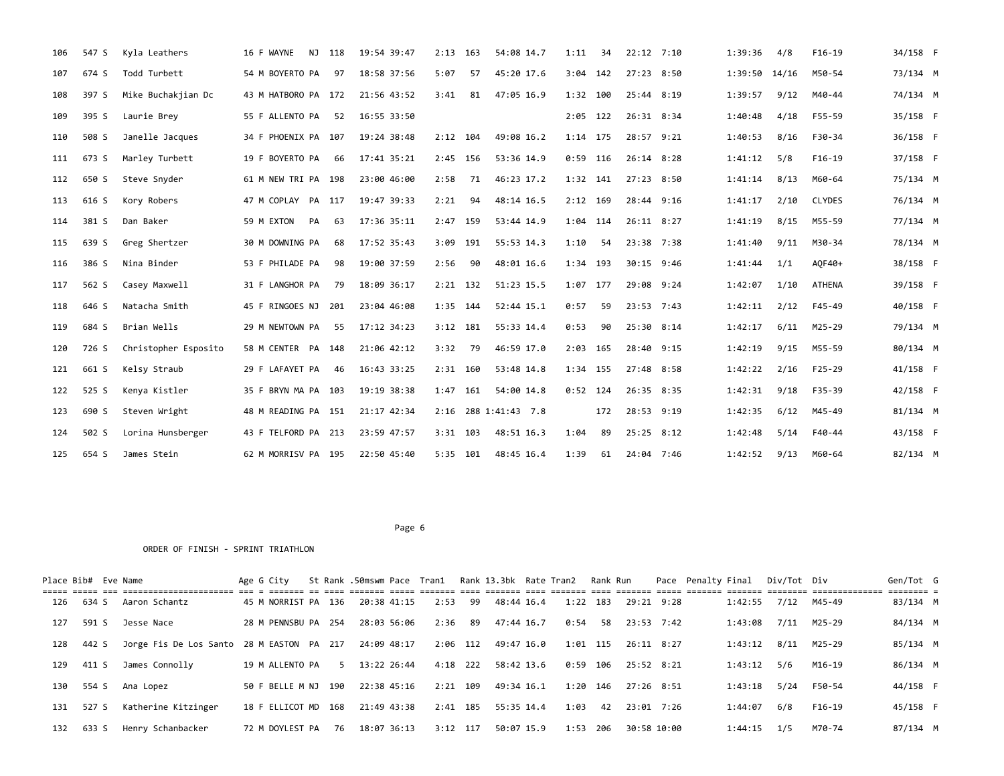| 106 | 547 S | Kyla Leathers        | 16 F WAYNE<br>NJ.   | 118 | 19:54 39:47 | 2:13       | 163 | 54:08 14.7           | 1:11       | 34  | $22:12$ $7:10$ | 1:39:36 | 4/8   | $F16-19$      | 34/158 F |  |
|-----|-------|----------------------|---------------------|-----|-------------|------------|-----|----------------------|------------|-----|----------------|---------|-------|---------------|----------|--|
| 107 | 674 S | Todd Turbett         | 54 M BOYERTO PA     | 97  | 18:58 37:56 | 5:07       | 57  | 45:20 17.6           | 3:04       | 142 | 27:23 8:50     | 1:39:50 | 14/16 | M50-54        | 73/134 M |  |
| 108 | 397 S | Mike Buchakjian Dc   | 43 M HATBORO PA 172 |     | 21:56 43:52 | 3:41       | 81  | 47:05 16.9           | 1:32       | 100 | 25:44 8:19     | 1:39:57 | 9/12  | M40-44        | 74/134 M |  |
| 109 | 395 S | Laurie Brey          | 55 F ALLENTO PA     | 52  | 16:55 33:50 |            |     |                      | 2:05 122   |     | 26:31 8:34     | 1:40:48 | 4/18  | F55-59        | 35/158 F |  |
| 110 | 508 S | Janelle Jacques      | 34 F PHOENIX PA 107 |     | 19:24 38:48 | $2:12$ 104 |     | 49:08 16.2           | 1:14 175   |     | 28:57 9:21     | 1:40:53 | 8/16  | F30-34        | 36/158 F |  |
| 111 | 673 S | Marley Turbett       | 19 F BOYERTO PA     | 66  | 17:41 35:21 | 2:45 156   |     | 53:36 14.9           | $0:59$ 116 |     | 26:14 8:28     | 1:41:12 | 5/8   | $F16-19$      | 37/158 F |  |
| 112 | 650 S | Steve Snyder         | 61 M NEW TRI PA 198 |     | 23:00 46:00 | 2:58       | 71  | 46:23 17.2           | 1:32 141   |     | 27:23 8:50     | 1:41:14 | 8/13  | M60-64        | 75/134 M |  |
| 113 | 616 S | Kory Robers          | 47 M COPLAY PA 117  |     | 19:47 39:33 | 2:21       | 94  | 48:14 16.5           | 2:12 169   |     | 28:44 9:16     | 1:41:17 | 2/10  | CLYDES        | 76/134 M |  |
| 114 | 381 S | Dan Baker            | 59 M EXTON<br>PA    | 63  | 17:36 35:11 | 2:47 159   |     | 53:44 14.9           | 1:04 114   |     | $26:11$ $8:27$ | 1:41:19 | 8/15  | M55-59        | 77/134 M |  |
| 115 | 639 S | Greg Shertzer        | 30 M DOWNING PA     | 68  | 17:52 35:43 | 3:09       | 191 | 55:53 14.3           | 1:10       | 54  | 23:38 7:38     | 1:41:40 | 9/11  | M30-34        | 78/134 M |  |
| 116 | 386 S | Nina Binder          | 53 F PHILADE PA     | 98  | 19:00 37:59 | 2:56       | 90  | 48:01 16.6           | 1:34 193   |     | 30:15 9:46     | 1:41:44 | 1/1   | A0F40+        | 38/158 F |  |
| 117 | 562 S | Casey Maxwell        | 31 F LANGHOR PA     | 79  | 18:09 36:17 | $2:21$ 132 |     | 51:23 15.5           | 1:07       | 177 | 29:08 9:24     | 1:42:07 | 1/10  | <b>ATHENA</b> | 39/158 F |  |
| 118 | 646 S | Natacha Smith        | 45 F RINGOES NJ     | 201 | 23:04 46:08 | $1:35$ 144 |     | 52:44 15.1           | 0:57       | 59  | 23:53 7:43     | 1:42:11 | 2/12  | F45-49        | 40/158 F |  |
| 119 | 684 S | Brian Wells          | 29 M NEWTOWN PA     | 55  | 17:12 34:23 | $3:12$ 181 |     | 55:33 14.4           | 0:53       | 90  | 25:30 8:14     | 1:42:17 | 6/11  | M25-29        | 79/134 M |  |
| 120 | 726 S | Christopher Esposito | 58 M CENTER PA 148  |     | 21:06 42:12 | 3:32       | 79  | 46:59 17.0           | 2:03 165   |     | 28:40 9:15     | 1:42:19 | 9/15  | M55-59        | 80/134 M |  |
| 121 | 661 S | Kelsy Straub         | 29 F LAFAYET PA     | 46  | 16:43 33:25 | $2:31$ 160 |     | 53:48 14.8           | 1:34 155   |     | 27:48 8:58     | 1:42:22 | 2/16  | F25-29        | 41/158 F |  |
| 122 | 525 S | Kenya Kistler        | 35 F BRYN MA PA 103 |     | 19:19 38:38 | 1:47 161   |     | 54:00 14.8           | $0:52$ 124 |     | 26:35 8:35     | 1:42:31 | 9/18  | F35-39        | 42/158 F |  |
| 123 | 690 S | Steven Wright        | 48 M READING PA 151 |     | 21:17 42:34 |            |     | 2:16 288 1:41:43 7.8 |            | 172 | 28:53 9:19     | 1:42:35 | 6/12  | M45-49        | 81/134 M |  |
| 124 | 502 S | Lorina Hunsberger    | 43 F TELFORD PA 213 |     | 23:59 47:57 | $3:31$ 103 |     | 48:51 16.3           | 1:04       | 89  | 25:25 8:12     | 1:42:48 | 5/14  | F40-44        | 43/158 F |  |
| 125 | 654 S | James Stein          | 62 M MORRISV PA 195 |     | 22:50 45:40 | 5:35 101   |     | 48:45 16.4           | 1:39       | 61  | 24:04 7:46     | 1:42:52 | 9/13  | M60-64        | 82/134 M |  |

| Place Bib# Eve Name |           |                                                       | Age G City          |      |               |          |      |                     | St Rank .50mswm Pace Tran1 Rank 13.3bk Rate Tran2 Rank Run |     |             | Pace Penalty Final | Div/Tot Div |        | Gen/Tot G              |  |
|---------------------|-----------|-------------------------------------------------------|---------------------|------|---------------|----------|------|---------------------|------------------------------------------------------------|-----|-------------|--------------------|-------------|--------|------------------------|--|
| 126                 | 634 S     | Aaron Schantz                                         | 45 M NORRIST PA 136 |      | 20:38 41:15   | 2:53 99  |      | 48:44 16.4          | $1:22$ 183                                                 |     | 29:21 9:28  | 1:42:55            | 7/12        | M45-49 | ======== =<br>83/134 M |  |
| 127                 | 591 S     | Jesse Nace                                            | 28 M PENNSBU PA 254 |      | 28:03 56:06   | 2:36     | - 89 | 47:44 16.7          | 0:54 58                                                    |     | 23:53 7:42  | 1:43:08            | 7/11        | M25-29 | 84/134 M               |  |
| 128                 | 442 S     | Jorge Fis De Los Santo 28 M EASTON PA 217 24:09 48:17 |                     |      |               |          |      | 2:06 112 49:47 16.0 | 1:01                                                       | 115 | 26:11 8:27  | 1:43:12            | 8/11        | M25-29 | 85/134 M               |  |
| 129                 | 411 S     | James Connolly                                        | 19 M ALLENTO PA     |      | 5 13:22 26:44 | 4:18 222 |      | 58:42 13.6          | 0:59                                                       | 106 | 25:52 8:21  | 1:43:12            | 5/6         | M16-19 | 86/134 M               |  |
| 130                 | 554 S     | Ana Lopez                                             | 50 F BELLE M NJ     | 190  | 22:38 45:16   | 2:21 109 |      | 49:34 16.1          | 1:20                                                       | 146 | 27:26 8:51  | 1:43:18            | 5/24        | F50-54 | 44/158 F               |  |
|                     | 131 527 S | Katherine Kitzinger                                   | 18 F ELLICOT MD 168 |      | 21:49 43:38   | 2:41 185 |      | 55:35 14.4          | 1:03                                                       | 42  | 23:01 7:26  | 1:44:07            | 6/8         | F16-19 | 45/158 F               |  |
| 132                 | 633 S     | Henry Schanbacker                                     | 72 M DOYLEST PA     | - 76 | 18:07 36:13   | 3:12 117 |      | 50:07 15.9          | 1:53                                                       | 206 | 30:58 10:00 | 1:44:15            | 1/5         | M70-74 | 87/134 M               |  |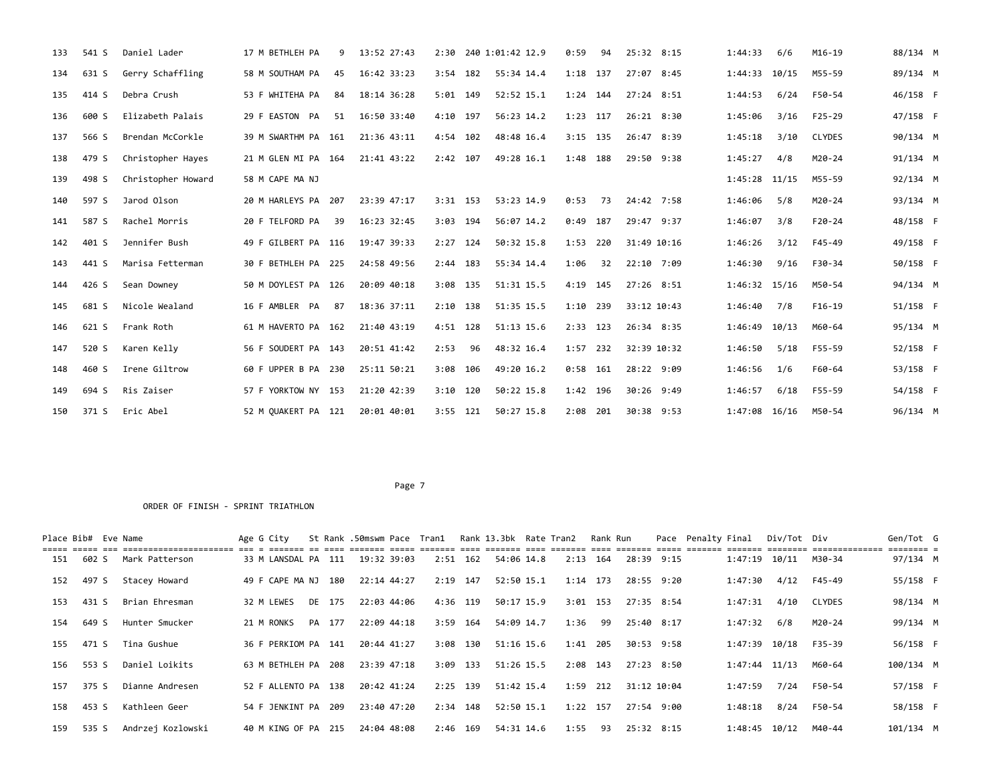| 133 | 541 S | Daniel Lader       | 17 M BETHLEH PA     | q  | 13:52 27:43 |            |     | 2:30 240 1:01:42 12.9 | 0:59       | 94  | 25:32 8:15  | 1:44:33         | 6/6   | M16-19        | 88/134 M |  |
|-----|-------|--------------------|---------------------|----|-------------|------------|-----|-----------------------|------------|-----|-------------|-----------------|-------|---------------|----------|--|
| 134 | 631 S | Gerry Schaffling   | 58 M SOUTHAM PA     | 45 | 16:42 33:23 | $3:54$ 182 |     | 55:34 14.4            | 1:18 137   |     | 27:07 8:45  | 1:44:33 10/15   |       | M55-59        | 89/134 M |  |
| 135 | 414 S | Debra Crush        | 53 F WHITEHA PA     | 84 | 18:14 36:28 | $5:01$ 149 |     | 52:52 15.1            | 1:24 144   |     | 27:24 8:51  | 1:44:53         | 6/24  | F50-54        | 46/158 F |  |
| 136 | 600 S | Elizabeth Palais   | 29 F EASTON PA      | 51 | 16:50 33:40 | 4:10 197   |     | 56:23 14.2            | 1:23 117   |     | 26:21 8:30  | 1:45:06         | 3/16  | F25-29        | 47/158 F |  |
| 137 | 566 S | Brendan McCorkle   | 39 M SWARTHM PA 161 |    | 21:36 43:11 | 4:54 102   |     | 48:48 16.4            | $3:15$ 135 |     | 26:47 8:39  | 1:45:18         | 3/10  | <b>CLYDES</b> | 90/134 M |  |
| 138 | 479 S | Christopher Hayes  | 21 M GLEN MI PA 164 |    | 21:41 43:22 | $2:42$ 107 |     | 49:28 16.1            | 1:48 188   |     | 29:50 9:38  | 1:45:27         | 4/8   | M20-24        | 91/134 M |  |
| 139 | 498 S | Christopher Howard | 58 M CAPE MA NJ     |    |             |            |     |                       |            |     |             | $1:45:28$ 11/15 |       | M55-59        | 92/134 M |  |
| 140 | 597 S | Jarod Olson        | 20 M HARLEYS PA 207 |    | 23:39 47:17 | $3:31$ 153 |     | 53:23 14.9            | 0:53       | 73  | 24:42 7:58  | 1:46:06         | 5/8   | M20-24        | 93/134 M |  |
| 141 | 587 S | Rachel Morris      | 20 F TELFORD PA     | 39 | 16:23 32:45 | $3:03$ 194 |     | 56:07 14.2            | $0:49$ 187 |     | 29:47 9:37  | 1:46:07         | 3/8   | $F20-24$      | 48/158 F |  |
| 142 | 401 S | Jennifer Bush      | 49 F GILBERT PA 116 |    | 19:47 39:33 | $2:27$ 124 |     | 50:32 15.8            | 1:53 220   |     | 31:49 10:16 | 1:46:26         | 3/12  | F45-49        | 49/158 F |  |
| 143 | 441 S | Marisa Fetterman   | 30 F BETHLEH PA 225 |    | 24:58 49:56 | $2:44$ 183 |     | 55:34 14.4            | 1:06       | 32  | 22:10 7:09  | 1:46:30         | 9/16  | F30-34        | 50/158 F |  |
| 144 | 426 S | Sean Downey        | 50 M DOYLEST PA 126 |    | 20:09 40:18 | 3:08 135   |     | 51:31 15.5            | 4:19       | 145 | 27:26 8:51  | 1:46:32 15/16   |       | M50-54        | 94/134 M |  |
| 145 | 681 S | Nicole Wealand     | 16 F AMBLER PA      | 87 | 18:36 37:11 | $2:10$ 138 |     | 51:35 15.5            | 1:10 239   |     | 33:12 10:43 | 1:46:40         | 7/8   | $F16-19$      | 51/158 F |  |
| 146 | 621 S | Frank Roth         | 61 M HAVERTO PA 162 |    | 21:40 43:19 | 4:51 128   |     | 51:13 15.6            | 2:33 123   |     | 26:34 8:35  | 1:46:49         | 10/13 | M60-64        | 95/134 M |  |
| 147 | 520 S | Karen Kelly        | 56 F SOUDERT PA 143 |    | 20:51 41:42 | 2:53       | 96  | 48:32 16.4            | $1:57$ 232 |     | 32:39 10:32 | 1:46:50         | 5/18  | F55-59        | 52/158 F |  |
| 148 | 460 S | Irene Giltrow      | 60 F UPPER B PA 230 |    | 25:11 50:21 | 3:08       | 106 | 49:20 16.2            | 0:58       | 161 | 28:22 9:09  | 1:46:56         | 1/6   | F60-64        | 53/158 F |  |
| 149 | 694 S | Ris Zaiser         | 57 F YORKTOW NY 153 |    | 21:20 42:39 | $3:10$ 120 |     | 50:22 15.8            | 1:42 196   |     | 30:26 9:49  | 1:46:57         | 6/18  | F55-59        | 54/158 F |  |
| 150 | 371 S | Eric Abel          | 52 M QUAKERT PA 121 |    | 20:01 40:01 | $3:55$ 121 |     | 50:27 15.8            | 2:08 201   |     | 30:38 9:53  | 1:47:08 16/16   |       | M50-54        | 96/134 M |  |

| Place Bib# Eve Name |       |                   | Age G City          |        |             | St Rank .50mswm Pace Tran1 Rank 13.3bk Rate Tran2 |     |            |            | Rank Run   |             |            | Pace Penalty Final |                   | Div/Tot Div |        | Gen/Tot G |  |
|---------------------|-------|-------------------|---------------------|--------|-------------|---------------------------------------------------|-----|------------|------------|------------|-------------|------------|--------------------|-------------------|-------------|--------|-----------|--|
| 151                 | 602 S | Mark Patterson    | 33 M LANSDAL PA 111 |        | 19:32 39:03 | 2:51                                              | 162 | 54:06 14.8 |            | $2:13$ 164 | 28:39 9:15  |            |                    | $1:47:19$ $10/11$ |             | M30-34 | 97/134 M  |  |
| 152                 | 497 S | Stacey Howard     | 49 F CAPE MA NJ     | 180    | 22:14 44:27 | 2:19                                              | 147 | 52:50 15.1 |            | 1:14 173   | 28:55 9:20  |            |                    | 1:47:30           | 4/12        | F45-49 | 55/158 F  |  |
| 153                 | 431 S | Brian Ehresman    | 32 M LEWES          | DE 175 | 22:03 44:06 | 4:36 119                                          |     | 50:17 15.9 | 3:01       | 153        | 27:35 8:54  |            |                    | 1:47:31           | 4/10        | CLYDES | 98/134 M  |  |
| 154                 | 649 S | Hunter Smucker    | 21 M RONKS          | PA 177 | 22:09 44:18 | 3:59                                              | 164 | 54:09 14.7 | 1:36       | - 99       | 25:40 8:17  |            |                    | 1:47:32           | 6/8         | M20-24 | 99/134 M  |  |
| 155                 | 471 S | Tina Gushue       | 36 F PERKIOM PA 141 |        | 20:44 41:27 | 3:08 130                                          |     | 51:16 15.6 | 1:41       | 205        |             | 30:53 9:58 |                    | 1:47:39           | 10/18       | F35-39 | 56/158 F  |  |
| 156                 | 553 S | Daniel Loikits    | 63 M BETHLEH PA 208 |        | 23:39 47:18 | 3:09                                              | 133 | 51:26 15.5 |            | $2:08$ 143 | 27:23 8:50  |            |                    | $1:47:44$ $11/13$ |             | M60-64 | 100/134 M |  |
| 157                 | 375 S | Dianne Andresen   | 52 F ALLENTO PA 138 |        | 20:42 41:24 | $2:25$ 139                                        |     | 51:42 15.4 |            | $1:59$ 212 | 31:12 10:04 |            |                    | 1:47:59           | 7/24        | F50-54 | 57/158 F  |  |
| 158                 | 453 S | Kathleen Geer     | 54 F JENKINT PA     | 209    | 23:40 47:20 | 2:34                                              | 148 | 52:50 15.1 | $1:22$ 157 |            | 27:54 9:00  |            |                    | 1:48:18           | 8/24        | F50-54 | 58/158 F  |  |
| 159                 | 535 S | Andrzej Kozlowski | 40 M KING OF PA     | 215    | 24:04 48:08 | 2:46                                              | 169 | 54:31 14.6 | 1:55       | 93         |             | 25:32 8:15 |                    | 1:48:45           | 10/12       | M40-44 | 101/134 M |  |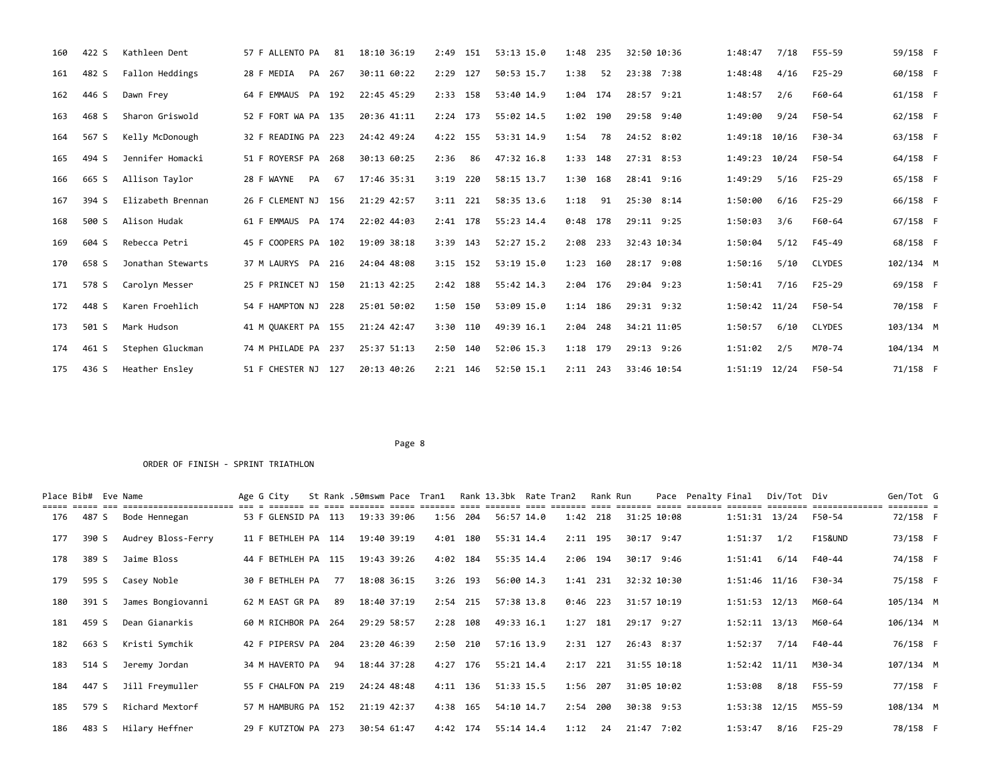| 160 | 422 S | Kathleen Dent     | 57 F ALLENTO PA     | 81     | 18:10 36:19 | $2:49$ 151  | 53:13 15.0   | 1:48<br>235 | 32:50 10:36   | 1:48:47<br>7/18  | F55-59        | 59/158 F  |  |
|-----|-------|-------------------|---------------------|--------|-------------|-------------|--------------|-------------|---------------|------------------|---------------|-----------|--|
| 161 | 482 S | Fallon Heddings   | 28 F MEDIA          | PA 267 | 30:11 60:22 | 2:29 127    | 50:53 15.7   | 1:38<br>52  | 23:38 7:38    | 4/16<br>1:48:48  | $F25 - 29$    | 60/158 F  |  |
| 162 | 446 S | Dawn Frey         | 64 F EMMAUS<br>PA   | 192    | 22:45 45:29 | 158<br>2:33 | 53:40 14.9   | 1:04<br>174 | 28:57<br>9:21 | 1:48:57<br>2/6   | F60-64        | 61/158 F  |  |
| 163 | 468 S | Sharon Griswold   | 52 F FORT WA PA 135 |        | 20:36 41:11 | $2:24$ 173  | 55:02 14.5   | 1:02 190    | 29:58 9:40    | 1:49:00<br>9/24  | F50-54        | 62/158 F  |  |
| 164 | 567 S | Kelly McDonough   | 32 F READING PA 223 |        | 24:42 49:24 | $4:22$ 155  | 53:31 14.9   | 1:54<br>78  | 24:52 8:02    | 1:49:18<br>10/16 | F30-34        | 63/158 F  |  |
| 165 | 494 S | Jennifer Homacki  | 51 F ROYERSF PA 268 |        | 30:13 60:25 | 2:36<br>86  | 47:32 16.8   | 1:33 148    | 27:31 8:53    | 1:49:23<br>10/24 | F50-54        | 64/158 F  |  |
| 166 | 665 S | Allison Taylor    | 28 F WAYNE<br>PA    | 67     | 17:46 35:31 | 3:19<br>220 | 58:15 13.7   | 1:30 168    | 28:41 9:16    | 1:49:29<br>5/16  | F25-29        | 65/158 F  |  |
| 167 | 394 S | Elizabeth Brennan | 26 F CLEMENT NJ 156 |        | 21:29 42:57 | $3:11$ 221  | 58:35 13.6   | 1:18<br>91  | 25:30 8:14    | 1:50:00<br>6/16  | $F25-29$      | 66/158 F  |  |
| 168 | 500 S | Alison Hudak      | 61 F EMMAUS PA 174  |        | 22:02 44:03 | $2:41$ 178  | 55:23 14.4   | $0:48$ 178  | 29:11 9:25    | 1:50:03<br>3/6   | F60-64        | 67/158 F  |  |
| 169 | 604 S | Rebecca Petri     | 45 F COOPERS PA 102 |        | 19:09 38:18 | $3:39$ 143  | $52:27$ 15.2 | 2:08<br>233 | 32:43 10:34   | 1:50:04<br>5/12  | F45-49        | 68/158 F  |  |
| 170 | 658 S | Jonathan Stewarts | 37 M LAURYS PA      | 216    | 24:04 48:08 | $3:15$ 152  | 53:19 15.0   | 1:23<br>160 | 28:17 9:08    | 1:50:16<br>5/10  | <b>CLYDES</b> | 102/134 M |  |
| 171 | 578 S | Carolyn Messer    | 25 F PRINCET NJ 150 |        | 21:13 42:25 | 2:42 188    | 55:42 14.3   | 2:04<br>176 | 29:04 9:23    | 7/16<br>1:50:41  | $F25 - 29$    | 69/158 F  |  |
| 172 | 448 S | Karen Froehlich   | 54 F HAMPTON NJ 228 |        | 25:01 50:02 | $1:50$ 150  | 53:09 15.0   | 186<br>1:14 | 29:31 9:32    | 1:50:42 11/24    | F50-54        | 70/158 F  |  |
| 173 | 501 S | Mark Hudson       | 41 M QUAKERT PA 155 |        | 21:24 42:47 | $3:30$ 110  | 49:39 16.1   | $2:04$ 248  | 34:21 11:05   | 6/10<br>1:50:57  | <b>CLYDES</b> | 103/134 M |  |
| 174 | 461 S | Stephen Gluckman  | 74 M PHILADE PA 237 |        | 25:37 51:13 | 140<br>2:50 | 52:06 15.3   | 1:18 179    | 29:13 9:26    | 1:51:02<br>2/5   | M70-74        | 104/134 M |  |
| 175 | 436 S | Heather Ensley    | 51 F CHESTER NJ 127 |        | 20:13 40:26 | $2:21$ 146  | 52:50 15.1   | $2:11$ 243  | 33:46 10:54   | 1:51:19<br>12/24 | F50-54        | 71/158 F  |  |

|     | Place Bib# Eve Name |                    | Age G City          |    | St Rank .50mswm Pace Tran1 |      |            | Rank 13.3bk Rate Tran2 |      | Rank Run   | Pace        | Penalty Final |                   | Div/Tot Div | :============      | Gen/Tot G<br>======== = |  |
|-----|---------------------|--------------------|---------------------|----|----------------------------|------|------------|------------------------|------|------------|-------------|---------------|-------------------|-------------|--------------------|-------------------------|--|
| 176 | 487 S               | Bode Hennegan      | 53 F GLENSID PA 113 |    | 19:33 39:06                |      | 1:56 204   | 56:57 14.0             |      | 1:42 218   | 31:25 10:08 |               | 1:51:31 13/24     |             | F50-54             | 72/158 F                |  |
| 177 | 390 S               | Audrey Bloss-Ferry | 11 F BETHLEH PA 114 |    | 19:40 39:19                |      | 4:01 180   | 55:31 14.4             | 2:11 | 195        | 30:17 9:47  |               | 1:51:37           | 1/2         | <b>F15&amp;UND</b> | 73/158 F                |  |
| 178 | 389 S               | Jaime Bloss        | 44 F BETHLEH PA 115 |    | 19:43 39:26                |      | 4:02 184   | 55:35 14.4             |      | 2:06 194   | 30:17 9:46  |               | 1:51:41           | 6/14        | F40-44             | 74/158 F                |  |
| 179 | 595 S               | Casey Noble        | 30 F BETHLEH PA     | 77 | 18:08 36:15                |      | $3:26$ 193 | 56:00 14.3             |      | 1:41 231   | 32:32 10:30 |               | 1:51:46 11/16     |             | F30-34             | 75/158 F                |  |
| 180 | 391 S               | James Bongiovanni  | 62 M EAST GR PA     | 89 | 18:40 37:19                |      | $2:54$ 215 | 57:38 13.8             | 0:46 | 223        | 31:57 10:19 |               | $1:51:53$ $12/13$ |             | M60-64             | 105/134 M               |  |
| 181 | 459 S               | Dean Gianarkis     | 60 M RICHBOR PA 264 |    | 29:29 58:57                | 2:28 | 108        | 49:33 16.1             | 1:27 | 181        | 29:17 9:27  |               | $1:52:11$ $13/13$ |             | M60-64             | 106/134 M               |  |
| 182 | 663 S               | Kristi Symchik     | 42 F PIPERSV PA 204 |    | 23:20 46:39                |      | $2:50$ 210 | 57:16 13.9             |      | 2:31 127   | 26:43 8:37  |               | 1:52:37           | 7/14        | F40-44             | 76/158 F                |  |
| 183 | 514 S               | Jeremy Jordan      | 34 M HAVERTO PA     | 94 | 18:44 37:28                |      | 4:27 176   | 55:21 14.4             |      | $2:17$ 221 | 31:55 10:18 |               | $1:52:42$ $11/11$ |             | M30-34             | 107/134 M               |  |
| 184 | 447 S               | Jill Freymuller    | 55 F CHALFON PA 219 |    | 24:24 48:48                |      | 4:11 136   | 51:33 15.5             |      | 1:56 207   | 31:05 10:02 |               | 1:53:08           | 8/18        | F55-59             | 77/158 F                |  |
| 185 | 579 S               | Richard Mextorf    | 57 M HAMBURG PA 152 |    | 21:19 42:37                |      | 4:38 165   | 54:10 14.7             | 2:54 | 200        | 30:38 9:53  |               | $1:53:38$ $12/15$ |             | M55-59             | 108/134 M               |  |
| 186 | 483 S               | Hilary Heffner     | 29 F KUTZTOW PA 273 |    | 30:54 61:47                |      | 4:42 174   | 55:14 14.4             | 1:12 | 24         | 21:47 7:02  |               | 1:53:47           | 8/16        | F25-29             | 78/158 F                |  |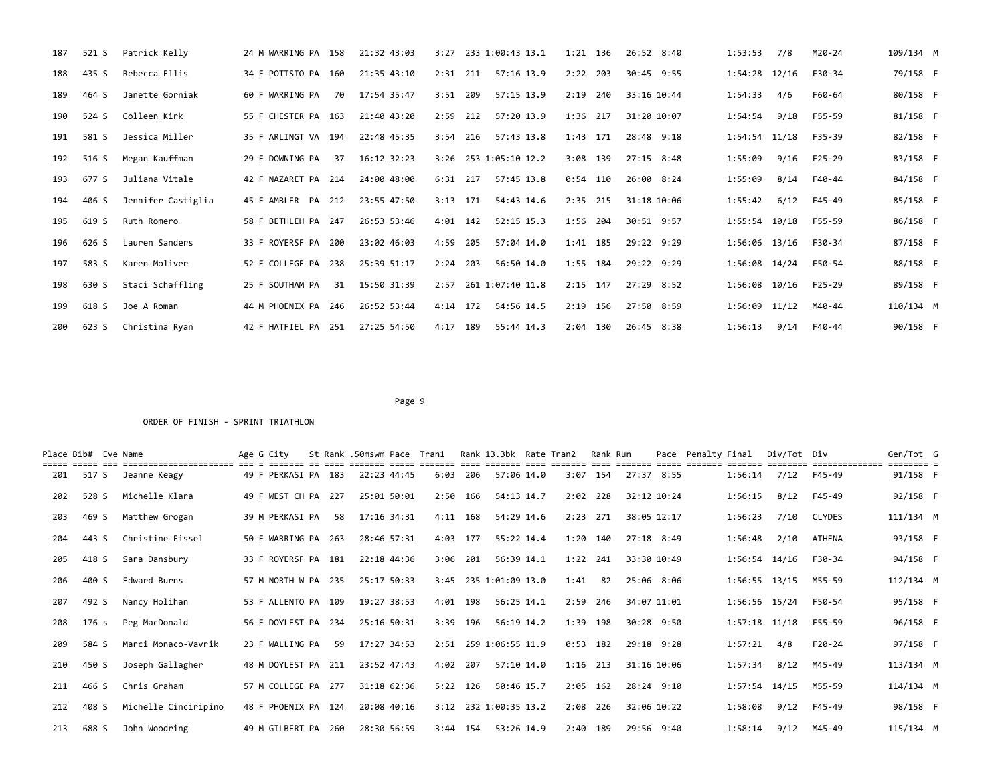| 187 | 521 S | Patrick Kelly      | 24 M WARRING PA 158 |    | 21:32 43:03 |            |     | 3:27 233 1:00:43 13.1 | 1:21 136   |     | 26:52 8:40  | 1:53:53           | 7/8  | M20-24     | 109/134 M |  |
|-----|-------|--------------------|---------------------|----|-------------|------------|-----|-----------------------|------------|-----|-------------|-------------------|------|------------|-----------|--|
| 188 | 435 S | Rebecca Ellis      | 34 F POTTSTO PA 160 |    | 21:35 43:10 | $2:31$ 211 |     | 57:16 13.9            | 2:22       | 203 | 30:45 9:55  | 1:54:28 12/16     |      | F30-34     | 79/158 F  |  |
| 189 | 464 S | Janette Gorniak    | 60 F WARRING PA     | 70 | 17:54 35:47 | $3:51$ 209 |     | 57:15 13.9            | 2:19       | 240 | 33:16 10:44 | 1:54:33           | 4/6  | F60-64     | 80/158 F  |  |
| 190 | 524 S | Colleen Kirk       | 55 F CHESTER PA 163 |    | 21:40 43:20 | 2:59 212   |     | 57:20 13.9            | 1:36 217   |     | 31:20 10:07 | 1:54:54           | 9/18 | F55-59     | 81/158 F  |  |
| 191 | 581 S | Jessica Miller     | 35 F ARLINGT VA 194 |    | 22:48 45:35 | $3:54$ 216 |     | 57:43 13.8            | 1:43 171   |     | 28:48 9:18  | 1:54:54 11/18     |      | F35-39     | 82/158 F  |  |
| 192 | 516 S | Megan Kauffman     | 29 F DOWNING PA     | 37 | 16:12 32:23 |            |     | 3:26 253 1:05:10 12.2 | 3:08 139   |     | 27:15 8:48  | 1:55:09           | 9/16 | $F25 - 29$ | 83/158 F  |  |
| 193 | 677 S | Juliana Vitale     | 42 F NAZARET PA 214 |    | 24:00 48:00 | $6:31$ 217 |     | 57:45 13.8            | $0:54$ 110 |     | 26:00 8:24  | 1:55:09           | 8/14 | F40-44     | 84/158 F  |  |
| 194 | 406 S | Jennifer Castiglia | 45 F AMBLER PA 212  |    | 23:55 47:50 | $3:13$ 171 |     | 54:43 14.6            | 2:35 215   |     | 31:18 10:06 | 1:55:42           | 6/12 | F45-49     | 85/158 F  |  |
| 195 | 619 S | Ruth Romero        | 58 F BETHLEH PA 247 |    | 26:53 53:46 | $4:01$ 142 |     | 52:15 15.3            | 1:56 204   |     | 30:51 9:57  | 1:55:54 10/18     |      | F55-59     | 86/158 F  |  |
| 196 | 626 S | Lauren Sanders     | 33 F ROYERSF PA 200 |    | 23:02 46:03 | 4:59       | 205 | 57:04 14.0            | 1:41 185   |     | 29:22 9:29  | 1:56:06 13/16     |      | F30-34     | 87/158 F  |  |
| 197 | 583 S | Karen Moliver      | 52 F COLLEGE PA 238 |    | 25:39 51:17 | 2:24       | 203 | 56:50 14.0            | 1:55 184   |     | 29:22 9:29  | 1:56:08 14/24     |      | F50-54     | 88/158 F  |  |
| 198 | 630 S | Staci Schaffling   | 25 F SOUTHAM PA     | 31 | 15:50 31:39 |            |     | 2:57 261 1:07:40 11.8 | $2:15$ 147 |     | 27:29 8:52  | 1:56:08 10/16     |      | F25-29     | 89/158 F  |  |
| 199 | 618 S | Joe A Roman        | 44 M PHOENIX PA 246 |    | 26:52 53:44 | 4:14 172   |     | 54:56 14.5            | 2:19 156   |     | 27:50 8:59  | $1:56:09$ $11/12$ |      | M40-44     | 110/134 M |  |
| 200 | 623 S | Christina Ryan     | 42 F HATFIEL PA 251 |    | 27:25 54:50 | 4:17       | 189 | 55:44 14.3            | 2:04 130   |     | 26:45 8:38  | 1:56:13           | 9/14 | F40-44     | 90/158 F  |  |

| Place Bib# Eve Name |       | .==================== | Age G City          |    | St Rank .50mswm Pace Tran1 |            |     | Rank 13.3bk Rate Tran2 |      | Rank Run   | Pace        | Penalty Final |                   | Div/Tot Div | =========== | Gen/Tot G |  |
|---------------------|-------|-----------------------|---------------------|----|----------------------------|------------|-----|------------------------|------|------------|-------------|---------------|-------------------|-------------|-------------|-----------|--|
| 201                 | 517 S | Jeanne Keagy          | 49 F PERKASI PA 183 |    | 22:23 44:45                | $6:03$ 206 |     | 57:06 14.0             |      | $3:07$ 154 | 27:37 8:55  |               | 1:56:14           | 7/12        | F45-49      | 91/158 F  |  |
| 202                 | 528 S | Michelle Klara        | 49 F WEST CH PA 227 |    | 25:01 50:01                | 2:50       | 166 | 54:13 14.7             |      | $2:02$ 228 | 32:12 10:24 |               | 1:56:15           | 8/12        | F45-49      | 92/158 F  |  |
| 203                 | 469 S | Matthew Grogan        | 39 M PERKASI PA     | 58 | 17:16 34:31                | $4:11$ 168 |     | 54:29 14.6             | 2:23 | 271        | 38:05 12:17 |               | 1:56:23           | 7/10        | CLYDES      | 111/134 M |  |
| 204                 | 443 S | Christine Fissel      | 50 F WARRING PA 263 |    | 28:46 57:31                | 4:03 177   |     | 55:22 14.4             |      | 1:20 140   | 27:18 8:49  |               | 1:56:48           | 2/10        | ATHENA      | 93/158 F  |  |
| 205                 | 418 S | Sara Dansbury         | 33 F ROYERSF PA 181 |    | 22:18 44:36                | 3:06       | 201 | 56:39 14.1             | 1:22 | 241        | 33:30 10:49 |               | 1:56:54 14/16     |             | F30-34      | 94/158 F  |  |
| 206                 | 400 S | Edward Burns          | 57 M NORTH W PA 235 |    | 25:17 50:33                |            |     | 3:45 235 1:01:09 13.0  | 1:41 | 82         | 25:06 8:06  |               | $1:56:55$ $13/15$ |             | M55-59      | 112/134 M |  |
| 207                 | 492 S | Nancy Holihan         | 53 F ALLENTO PA 109 |    | 19:27 38:53                | 4:01 198   |     | 56:25 14.1             | 2:59 | 246        | 34:07 11:01 |               | 1:56:56 15/24     |             | F50-54      | 95/158 F  |  |
| 208                 | 176 s | Peg MacDonald         | 56 F DOYLEST PA 234 |    | 25:16 50:31                | 3:39 196   |     | 56:19 14.2             |      | 1:39 198   | 30:28 9:50  |               | $1:57:18$ $11/18$ |             | F55-59      | 96/158 F  |  |
| 209                 | 584 S | Marci Monaco-Vavrik   | 23 F WALLING PA     | 59 | 17:27 34:53                |            |     | 2:51 259 1:06:55 11.9  |      | $0:53$ 182 | 29:18 9:28  |               | 1:57:21           | 4/8         | $F20-24$    | 97/158 F  |  |
| 210                 | 450 S | Joseph Gallagher      | 48 M DOYLEST PA 211 |    | 23:52 47:43                | 4:02       | 207 | 57:10 14.0             |      | $1:16$ 213 | 31:16 10:06 |               | 1:57:34           | 8/12        | M45-49      | 113/134 M |  |
| 211                 | 466 S | Chris Graham          | 57 M COLLEGE PA 277 |    | 31:18 62:36                | $5:22$ 126 |     | 50:46 15.7             |      | $2:05$ 162 | 28:24 9:10  |               | $1:57:54$ $14/15$ |             | M55-59      | 114/134 M |  |
| 212                 | 408 S | Michelle Cinciripino  | 48 F PHOENIX PA 124 |    | 20:08 40:16                |            |     | 3:12 232 1:00:35 13.2  |      | 2:08 226   | 32:06 10:22 |               | 1:58:08           | 9/12        | F45-49      | 98/158 F  |  |
| 213                 | 688 S | John Woodring         | 49 M GILBERT PA 260 |    | 28:30 56:59                | $3:44$ 154 |     | 53:26 14.9             |      | 2:40 189   | 29:56 9:40  |               | 1:58:14           | 9/12        | M45-49      | 115/134 M |  |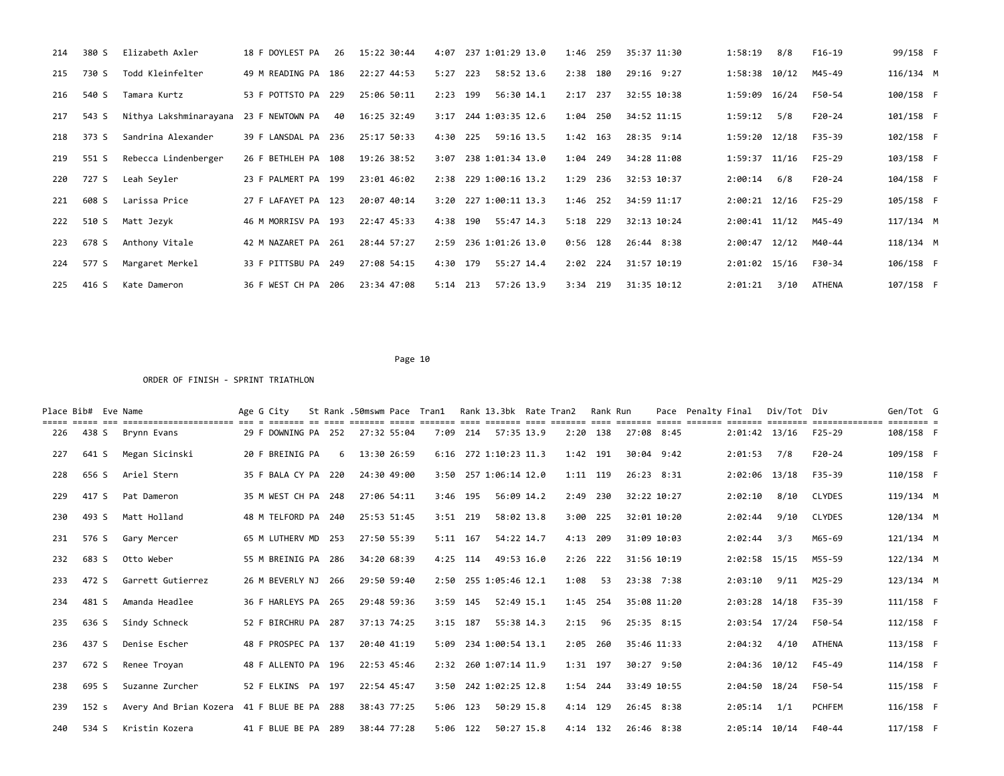| 214 | 380 S | Elizabeth Axler        | 18 F DOYLEST PA     | 26 | 15:22 30:44 | 4:07     | 237 1:01:29 13.0      | 1:46       | 259 | 35:37 11:30 | 1:58:19           | 8/8  | $F16-19$ | 99/158 F  |  |
|-----|-------|------------------------|---------------------|----|-------------|----------|-----------------------|------------|-----|-------------|-------------------|------|----------|-----------|--|
| 215 | 730 S | Todd Kleinfelter       | 49 M READING PA 186 |    | 22:27 44:53 | 5:27     | 223<br>58:52 13.6     | 2:38       | 180 | 29:16 9:27  | $1:58:38$ $10/12$ |      | M45-49   | 116/134 M |  |
| 216 | 540 S | Tamara Kurtz           | 53 F POTTSTO PA 229 |    | 25:06 50:11 | 2:23     | 199<br>56:30 14.1     | 2:17       | 237 | 32:55 10:38 | 1:59:09 16/24     |      | F50-54   | 100/158 F |  |
| 217 | 543 S | Nithya Lakshminarayana | 23 F NEWTOWN PA     | 40 | 16:25 32:49 | 3:17     | 244 1:03:35 12.6      | 1:04       | 250 | 34:52 11:15 | 1:59:12           | 5/8  | F20-24   | 101/158 F |  |
| 218 | 373 S | Sandrina Alexander     | 39 F LANSDAL PA 236 |    | 25:17 50:33 | 4:30 225 | 59:16 13.5            | $1:42$ 163 |     | 28:35 9:14  | 1:59:20 12/18     |      | F35-39   | 102/158 F |  |
| 219 | 551 S | Rebecca Lindenberger   | 26 F BETHLEH PA 108 |    | 19:26 38:52 |          | 3:07 238 1:01:34 13.0 | 1:04       | 249 | 34:28 11:08 | 1:59:37 11/16     |      | F25-29   | 103/158 F |  |
| 220 | 727 S | Leah Seyler            | 23 F PALMERT PA 199 |    | 23:01 46:02 |          | 2:38 229 1:00:16 13.2 | 1:29       | 236 | 32:53 10:37 | 2:00:14           | 6/8  | $F20-24$ | 104/158 F |  |
| 221 | 608 S | Larissa Price          | 27 F LAFAYET PA 123 |    | 20:07 40:14 |          | 3:20 227 1:00:11 13.3 | 1:46       | 252 | 34:59 11:17 | $2:00:21$ $12/16$ |      | F25-29   | 105/158 F |  |
| 222 | 510 S | Matt Jezyk             | 46 M MORRISV PA 193 |    | 22:47 45:33 | 4:38 190 | 55:47 14.3            | 5:18       | 229 | 32:13 10:24 | $2:00:41$ $11/12$ |      | M45-49   | 117/134 M |  |
| 223 | 678 S | Anthony Vitale         | 42 M NAZARET PA 261 |    | 28:44 57:27 |          | 2:59 236 1:01:26 13.0 | $0:56$ 128 |     | 26:44 8:38  | $2:00:47$ $12/12$ |      | M40-44   | 118/134 M |  |
| 224 | 577 S | Margaret Merkel        | 33 F PITTSBU PA 249 |    | 27:08 54:15 | 4:30 179 | 55:27 14.4            | $2:02$ 224 |     | 31:57 10:19 | $2:01:02$ 15/16   |      | F30-34   | 106/158 F |  |
| 225 | 416 S | Kate Dameron           | 36 F WEST CH PA 206 |    | 23:34 47:08 | 5:14     | 213<br>57:26 13.9     | 3:34       | 219 | 31:35 10:12 | 2:01:21           | 3/10 | ATHENA   | 107/158 F |  |

|     | Place Bib# Eve Name | ======================== === = | Age G City          |     | St Rank .50mswm Pace Tran1 |             |            |     | Rank 13.3bk Rate Tran2 | aboo doodood aboo doodood | Rank Run   | -------     | Pace | Penalty Final |                 | Div/Tot Div | ============== | Gen/Tot G<br>$-$ -e====== |  |
|-----|---------------------|--------------------------------|---------------------|-----|----------------------------|-------------|------------|-----|------------------------|---------------------------|------------|-------------|------|---------------|-----------------|-------------|----------------|---------------------------|--|
| 226 | 438 S               | Brynn Evans                    | 29 F DOWNING PA 252 |     | 27:32 55:04                |             | $7:09$ 214 |     | 57:35 13.9             |                           | $2:20$ 138 | 27:08 8:45  |      |               | $2:01:42$ 13/16 |             | $F25-29$       | 108/158 F                 |  |
| 227 | 641 S               | Megan Sicinski                 | 20 F BREINIG PA     |     | $6$ 13:30 26:59            |             |            |     | 6:16 272 1:10:23 11.3  |                           | 1:42 191   | 30:04 9:42  |      |               | 2:01:53         | 7/8         | $F20-24$       | 109/158 F                 |  |
| 228 | 656 S               | Ariel Stern                    | 35 F BALA CY PA 220 |     | 24:30 49:00                |             |            |     | 3:50 257 1:06:14 12.0  | 1:11 119                  |            | 26:23 8:31  |      |               | 2:02:06 13/18   |             | F35-39         | 110/158 F                 |  |
| 229 | 417 S               | Pat Dameron                    | 35 M WEST CH PA 248 |     | 27:06 54:11                |             | 3:46       | 195 | 56:09 14.2             | 2:49                      | 230        | 32:22 10:27 |      |               | 2:02:10         | 8/10        | <b>CLYDES</b>  | 119/134 M                 |  |
| 230 | 493 S               | Matt Holland                   | 48 M TELFORD PA 240 |     | 25:53 51:45                |             | $3:51$ 219 |     | 58:02 13.8             |                           | 3:00 225   | 32:01 10:20 |      |               | 2:02:44         | 9/10        | <b>CLYDES</b>  | 120/134 M                 |  |
| 231 | 576 S               | Gary Mercer                    | 65 M LUTHERV MD     | 253 | 27:50 55:39                |             | $5:11$ 167 |     | 54:22 14.7             | 4:13                      | 209        | 31:09 10:03 |      |               | 2:02:44         | 3/3         | M65-69         | 121/134 M                 |  |
| 232 | 683 S               | Otto Weber                     | 55 M BREINIG PA 286 |     |                            | 34:20 68:39 | 4:25       | 114 | 49:53 16.0             | 2:26                      | 222        | 31:56 10:19 |      |               | 2:02:58         | 15/15       | M55-59         | 122/134 M                 |  |
| 233 | 472 S               | Garrett Gutierrez              | 26 M BEVERLY NJ 266 |     | 29:50 59:40                |             |            |     | 2:50 255 1:05:46 12.1  | 1:08                      | 53         | 23:38 7:38  |      |               | 2:03:10         | 9/11        | M25-29         | 123/134 M                 |  |
| 234 | 481 S               | Amanda Headlee                 | 36 F HARLEYS PA 265 |     |                            | 29:48 59:36 | $3:59$ 145 |     | 52:49 15.1             |                           | 1:45 254   | 35:08 11:20 |      |               | $2:03:28$ 14/18 |             | F35-39         | 111/158 F                 |  |
| 235 | 636 S               | Sindy Schneck                  | 52 F BIRCHRU PA 287 |     | 37:13 74:25                |             | $3:15$ 187 |     | 55:38 14.3             | 2:15                      | 96         | 25:35 8:15  |      |               | 2:03:54 17/24   |             | F50-54         | 112/158 F                 |  |
| 236 | 437 S               | Denise Escher                  | 48 F PROSPEC PA 137 |     |                            | 20:40 41:19 |            |     | 5:09 234 1:00:54 13.1  | 2:05                      | 260        | 35:46 11:33 |      |               | 2:04:32         | 4/10        | <b>ATHENA</b>  | 113/158 F                 |  |
| 237 | 672 S               | Renee Troyan                   | 48 F ALLENTO PA 196 |     | 22:53 45:46                |             |            |     | 2:32 260 1:07:14 11.9  |                           | $1:31$ 197 | 30:27 9:50  |      |               | $2:04:36$ 10/12 |             | $F45 - 49$     | 114/158 F                 |  |
| 238 | 695 S               | Suzanne Zurcher                | 52 F ELKINS PA 197  |     | 22:54 45:47                |             |            |     | 3:50 242 1:02:25 12.8  | 1:54 244                  |            | 33:49 10:55 |      |               | 2:04:50 18/24   |             | F50-54         | 115/158 F                 |  |
| 239 | 152 <sub>s</sub>    | Avery And Brian Kozera         | 41 F BLUE BE PA 288 |     |                            | 38:43 77:25 | $5:06$ 123 |     | 50:29 15.8             |                           | 4:14 129   | 26:45 8:38  |      |               | 2:05:14         | 1/1         | <b>PCHFEM</b>  | 116/158 F                 |  |
| 240 | 534 S               | Kristin Kozera                 | 41 F BLUE BE PA 289 |     |                            | 38:44 77:28 | 5:06       | 122 | 50:27 15.8             |                           | $4:14$ 132 | 26:46 8:38  |      |               | $2:05:14$ 10/14 |             | F40-44         | 117/158 F                 |  |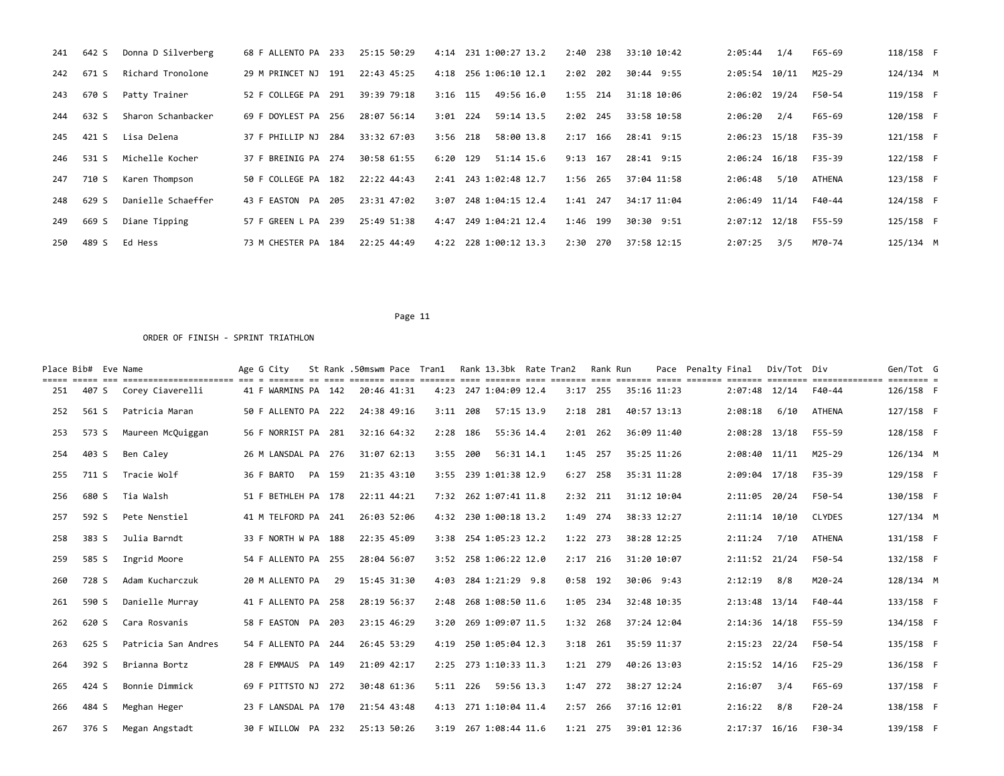| 241 | 642 S | Donna D Silverberg | 68 F ALLENTO PA 233             | 25:15 50:29 |            | 4:14 231 1:00:27 13.2   | 2:40<br>238 | 33:10 10:42 | 2:05:44<br>1/4    | F65-69        | 118/158 F |  |
|-----|-------|--------------------|---------------------------------|-------------|------------|-------------------------|-------------|-------------|-------------------|---------------|-----------|--|
| 242 | 671 S | Richard Tronolone  | 29 M PRINCET NJ 191             | 22:43 45:25 |            | 4:18 256 1:06:10 12.1   | 202<br>2:02 | 30:44 9:55  | $2:05:54$ 10/11   | M25-29        | 124/134 M |  |
| 243 | 670 S | Patty Trainer      | 52 F COLLEGE PA 291             | 39:39 79:18 | $3:16$ 115 | 49:56 16.0              | $1:55$ 214  | 31:18 10:06 | 2:06:02 19/24     | F50-54        | 119/158 F |  |
| 244 | 632 S | Sharon Schanbacker | 69 F DOYLEST PA 256             | 28:07 56:14 | $3:01$ 224 | 59:14 13.5              | 2:02 245    | 33:58 10:58 | 2:06:20<br>2/4    | F65-69        | 120/158 F |  |
| 245 | 421 S | Lisa Delena        | 37 F PHILLIP NJ 284             | 33:32 67:03 | $3:56$ 218 | 58:00 13.8              | 2:17<br>166 | 28:41 9:15  | $2:06:23$ 15/18   | F35-39        | 121/158 F |  |
| 246 | 531 S | Michelle Kocher    | 37 F BREINIG PA 274             | 30:58 61:55 | 6:20       | 129<br>$51:14$ 15.6     | 167<br>9:13 | 28:41 9:15  | $2:06:24$ 16/18   | F35-39        | 122/158 F |  |
| 247 | 710 S | Karen Thompson     | 50 F COLLEGE PA 182             | 22:22 44:43 |            | 2:41 243 1:02:48 12.7   | 1:56<br>265 | 37:04 11:58 | 5/10<br>2:06:48   | <b>ATHENA</b> | 123/158 F |  |
| 248 | 629 S | Danielle Schaeffer | 205<br>43 F EASTON<br><b>PA</b> | 23:31 47:02 | 3:07       | 248 1:04:15 12.4        | 1:41<br>247 | 34:17 11:04 | $2:06:49$ 11/14   | F40-44        | 124/158 F |  |
| 249 | 669 S | Diane Tipping      | 57 F GREEN L PA 239             | 25:49 51:38 | 4:47       | 249 1:04:21 12.4        | 1:46<br>199 | 30:30 9:51  | $2:07:12$ $12/18$ | F55-59        | 125/158 F |  |
| 250 | 489 S | Ed Hess            | 73 M CHESTER PA 184             | 22:25 44:49 |            | $4:22$ 228 1:00:12 13.3 | 2:30 270    | 37:58 12:15 | 2:07:25<br>3/5    | M70-74        | 125/134 M |  |

|     | Place Bib# Eve Name |                     | Age G City          |        | St Rank .50mswm Pace Tran1 |            |            | Rank 13.3bk Rate Tran2 |      | Rank Run   |             |             | Pace Penalty Final |                   | Div/Tot Div |               | Gen/Tot G |  |
|-----|---------------------|---------------------|---------------------|--------|----------------------------|------------|------------|------------------------|------|------------|-------------|-------------|--------------------|-------------------|-------------|---------------|-----------|--|
| 251 | 407 S               | Corey Ciaverelli    | 41 F WARMINS PA 142 |        | 20:46 41:31                |            |            | 4:23 247 1:04:09 12.4  |      | $3:17$ 255 | 35:16 11:23 |             |                    | $2:07:48$ 12/14   |             | $F40-44$      | 126/158 F |  |
| 252 | 561 S               | Patricia Maran      | 50 F ALLENTO PA 222 |        | 24:38 49:16                | $3:11$ 208 |            | 57:15 13.9             |      | $2:18$ 281 | 40:57 13:13 |             |                    | 2:08:18           | 6/10        | <b>ATHENA</b> | 127/158 F |  |
| 253 | 573 S               | Maureen McQuiggan   | 56 F NORRIST PA 281 |        | 32:16 64:32                | $2:28$ 186 |            | 55:36 14.4             |      | $2:01$ 262 |             | 36:09 11:40 |                    | 2:08:28 13/18     |             | F55-59        | 128/158 F |  |
| 254 | 403 S               | Ben Caley           | 26 M LANSDAL PA 276 |        | 31:07 62:13                | $3:55$ 200 |            | 56:31 14.1             |      | 1:45 257   |             | 35:25 11:26 |                    | $2:08:40$ $11/11$ |             | M25-29        | 126/134 M |  |
| 255 | 711 S               | Tracie Wolf         | 36 F BARTO          | PA 159 | 21:35 43:10                |            |            | 3:55 239 1:01:38 12.9  |      | $6:27$ 258 | 35:31 11:28 |             |                    | $2:09:04$ 17/18   |             | F35-39        | 129/158 F |  |
| 256 | 680 S               | Tia Walsh           | 51 F BETHLEH PA 178 |        | 22:11 44:21                |            |            | 7:32 262 1:07:41 11.8  |      | 2:32 211   |             | 31:12 10:04 |                    | 2:11:05 20/24     |             | F50-54        | 130/158 F |  |
| 257 | 592 S               | Pete Nenstiel       | 41 M TELFORD PA 241 |        | 26:03 52:06                |            |            | 4:32 230 1:00:18 13.2  | 1:49 | 274        |             | 38:33 12:27 |                    | $2:11:14$ 10/10   |             | <b>CLYDES</b> | 127/134 M |  |
| 258 | 383 S               | Julia Barndt        | 33 F NORTH W PA 188 |        | 22:35 45:09                |            |            | 3:38 254 1:05:23 12.2  |      | $1:22$ 273 |             | 38:28 12:25 |                    | 2:11:24           | 7/10        | <b>ATHENA</b> | 131/158 F |  |
| 259 | 585 S               | Ingrid Moore        | 54 F ALLENTO PA 255 |        | 28:04 56:07                |            |            | 3:52 258 1:06:22 12.0  |      | $2:17$ 216 | 31:20 10:07 |             |                    | 2:11:52 21/24     |             | F50-54        | 132/158 F |  |
| 260 | 728 S               | Adam Kucharczuk     | 20 M ALLENTO PA     | 29     | 15:45 31:30                |            |            | 4:03 284 1:21:29 9.8   |      | $0:58$ 192 |             | 30:06 9:43  |                    | 2:12:19           | 8/8         | M20-24        | 128/134 M |  |
| 261 | 590 S               | Danielle Murray     | 41 F ALLENTO PA 258 |        | 28:19 56:37                |            |            | 2:48 268 1:08:50 11.6  |      | 1:05 234   | 32:48 10:35 |             |                    | 2:13:48 13/14     |             | F40-44        | 133/158 F |  |
| 262 | 620 S               | Cara Rosvanis       | 58 F EASTON PA 203  |        | 23:15 46:29                |            |            | 3:20 269 1:09:07 11.5  |      | 1:32 268   |             | 37:24 12:04 |                    | 2:14:36 14/18     |             | F55-59        | 134/158 F |  |
| 263 | 625 S               | Patricia San Andres | 54 F ALLENTO PA 244 |        | 26:45 53:29                |            |            | 4:19 250 1:05:04 12.3  |      | $3:18$ 261 |             | 35:59 11:37 |                    | 2:15:23 22/24     |             | F50-54        | 135/158 F |  |
| 264 | 392 S               | Brianna Bortz       | 28 F EMMAUS PA 149  |        | 21:09 42:17                |            |            | 2:25 273 1:10:33 11.3  |      | 1:21 279   | 40:26 13:03 |             |                    | 2:15:52 14/16     |             | $F25-29$      | 136/158 F |  |
| 265 | 424 S               | Bonnie Dimmick      | 69 F PITTSTO NJ 272 |        | 30:48 61:36                |            | $5:11$ 226 | 59:56 13.3             | 1:47 | 272        |             | 38:27 12:24 |                    | 2:16:07           | 3/4         | F65-69        | 137/158 F |  |
| 266 | 484 S               | Meghan Heger        | 23 F LANSDAL PA 170 |        | 21:54 43:48                |            |            | 4:13 271 1:10:04 11.4  | 2:57 | 266        | 37:16 12:01 |             |                    | 2:16:22           | 8/8         | $F20-24$      | 138/158 F |  |
| 267 | 376 S               | Megan Angstadt      | 30 F WILLOW PA 232  |        | 25:13 50:26                |            |            | 3:19 267 1:08:44 11.6  |      | 1:21 275   |             | 39:01 12:36 |                    | $2:17:37$ 16/16   |             | F30-34        | 139/158 F |  |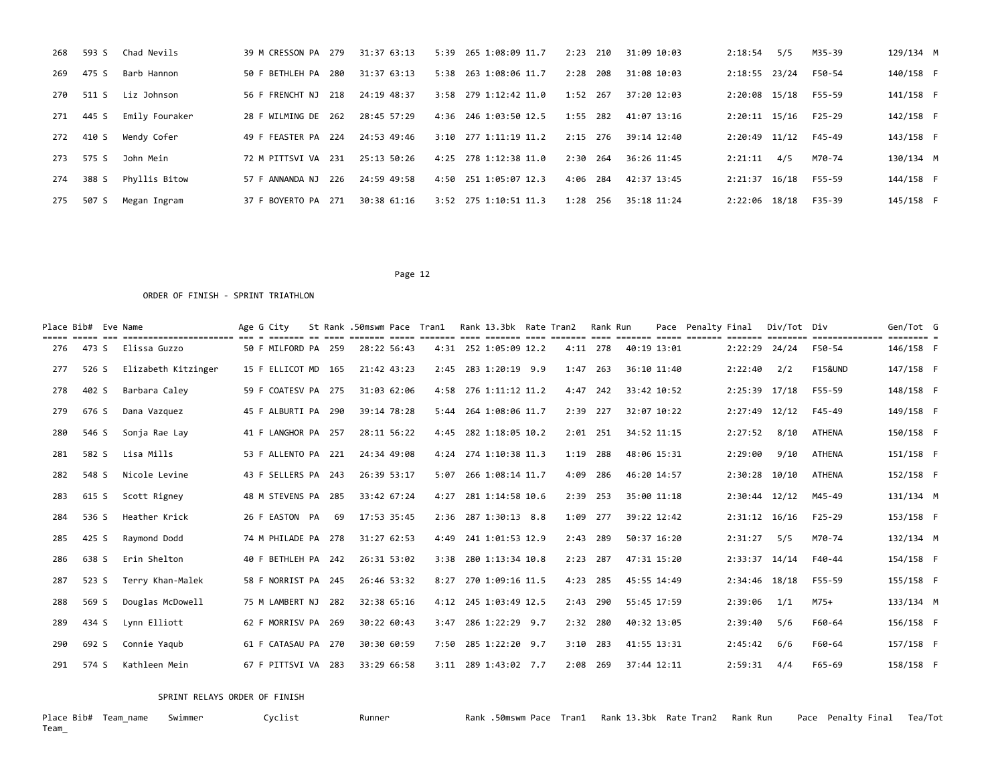| 268 | 593 S | Chad Nevils    | 39 M CRESSON PA 279    | 31:37 63:13 | 5:39 265 1:08:09 11.7   | 2:23<br>210 | 31:09 10:03 | 2:18:54<br>5/5  | M35-39   | 129/134 M |
|-----|-------|----------------|------------------------|-------------|-------------------------|-------------|-------------|-----------------|----------|-----------|
| 269 | 475 S | Barb Hannon    | 50 F BETHLEH PA 280    | 31:37 63:13 | 5:38 263 1:08:06 11.7   | 2:28<br>208 | 31:08 10:03 | 2:18:55 23/24   | F50-54   | 140/158 F |
| 270 | 511   | Liz Johnson    | 56 F FRENCHT NJ<br>218 | 24:19 48:37 | 3:58 279 1:12:42 11.0   | 1:52<br>267 | 37:20 12:03 | 2:20:08 15/18   | F55-59   | 141/158 F |
| 271 | 445 S | Emily Fouraker | 28 F WILMING DE 262    | 28:45 57:29 | 4:36 246 1:03:50 12.5   | 1:55<br>282 | 41:07 13:16 | $2:20:11$ 15/16 | $F25-29$ | 142/158 F |
| 272 | 410 S | Wendy Cofer    | 49 F FEASTER PA 224    | 24:53 49:46 | $3:10$ 277 1:11:19 11.2 | 2:15<br>276 | 39:14 12:40 | 2:20:49 11/12   | F45-49   | 143/158 F |
| 273 | 575 S | John Mein      | 72 M PITTSVI VA 231    | 25:13 50:26 | $4:25$ 278 1:12:38 11.0 | 2:30<br>264 | 36:26 11:45 | 4/5<br>2:21:11  | M70-74   | 130/134 M |
| 274 | 388 S | Phyllis Bitow  | 57 F ANNANDA NJ 226    | 24:59 49:58 | 4:50 251 1:05:07 12.3   | 284<br>4:06 | 42:37 13:45 | $2:21:37$ 16/18 | F55-59   | 144/158 F |
| 275 | 507 S | Megan Ingram   | 37 F BOYERTO PA 271    | 30:38 61:16 | $3:52$ 275 1:10:51 11.3 | 1:28<br>256 | 35:18 11:24 | 2:22:06 18/18   | F35-39   | 145/158 F |

#### ORDER OF FINISH - SPRINT TRIATHLON

| Place Bib# Eve Name |       | ======================== === = | Age G City          |    | St Rank .50mswm Pace Tran1 |      | Rank 13.3bk Rate Tran2 |          | Rank Run   | $-$ - - - - - - | Pace        | Penaltv Final |                   | Div/Tot Div | ==============     | Gen/Tot G<br>$=$ $=$ $=$ $=$ $=$ $=$ |  |
|---------------------|-------|--------------------------------|---------------------|----|----------------------------|------|------------------------|----------|------------|-----------------|-------------|---------------|-------------------|-------------|--------------------|--------------------------------------|--|
| 276                 | 473 S | Elissa Guzzo                   | 50 F MILFORD PA 259 |    | 28:22 56:43                |      | 4:31 252 1:05:09 12.2  |          | $4:11$ 278 | 40:19 13:01     |             |               | 2:22:29           | 24/24       | F50-54             | 146/158 F                            |  |
| 277                 | 526 S | Elizabeth Kitzinger            | 15 F ELLICOT MD 165 |    | 21:42 43:23                | 2:45 | 283 1:20:19 9.9        | 1:47     | 263        |                 | 36:10 11:40 |               | 2:22:40           | 2/2         | <b>F15&amp;UND</b> | 147/158 F                            |  |
| 278                 | 402 S | Barbara Caley                  | 59 F COATESV PA 275 |    | 31:03 62:06                |      | 4:58 276 1:11:12 11.2  |          | $4:47$ 242 | 33:42 10:52     |             |               | 2:25:39 17/18     |             | F55-59             | 148/158 F                            |  |
| 279                 | 676 S | Dana Vazquez                   | 45 F ALBURTI PA 290 |    | 39:14 78:28                |      | 5:44 264 1:08:06 11.7  | 2:39 227 |            | 32:07 10:22     |             |               | $2:27:49$ $12/12$ |             | F45-49             | 149/158 F                            |  |
| 280                 | 546 S | Sonja Rae Lay                  | 41 F LANGHOR PA 257 |    | 28:11 56:22                |      | 4:45 282 1:18:05 10.2  |          | $2:01$ 251 | 34:52 11:15     |             |               | 2:27:52           | 8/10        | <b>ATHENA</b>      | 150/158 F                            |  |
| 281                 | 582 S | Lisa Mills                     | 53 F ALLENTO PA 221 |    | 24:34 49:08                |      | 4:24 274 1:10:38 11.3  | 1:19     | 288        | 48:06 15:31     |             |               | 2:29:00           | 9/10        | <b>ATHENA</b>      | 151/158 F                            |  |
| 282                 | 548 S | Nicole Levine                  | 43 F SELLERS PA 243 |    | 26:39 53:17                | 5:07 | 266 1:08:14 11.7       | 4:09     | 286        | 46:20 14:57     |             |               | $2:30:28$ 10/10   |             | <b>ATHENA</b>      | 152/158 F                            |  |
| 283                 | 615 S | Scott Rigney                   | 48 M STEVENS PA 285 |    | 33:42 67:24                |      | 4:27 281 1:14:58 10.6  |          | 2:39 253   | 35:00 11:18     |             |               | $2:30:44$ $12/12$ |             | M45-49             | 131/134 M                            |  |
| 284                 | 536 S | Heather Krick                  | 26 F EASTON PA      | 69 | 17:53 35:45                |      | 2:36 287 1:30:13 8.8   | 1:09     | 277        | 39:22 12:42     |             |               | $2:31:12$ 16/16   |             | $F25-29$           | 153/158 F                            |  |
| 285                 | 425 S | Raymond Dodd                   | 74 M PHILADE PA 278 |    | 31:27 62:53                |      | 4:49 241 1:01:53 12.9  | 2:43     | 289        | 50:37 16:20     |             |               | 2:31:27           | 5/5         | M70-74             | 132/134 M                            |  |
| 286                 | 638 S | Erin Shelton                   | 40 F BETHLEH PA 242 |    | 26:31 53:02                |      | 3:38 280 1:13:34 10.8  | 2:23     | 287        | 47:31 15:20     |             |               | 2:33:37           | 14/14       | $F40 - 44$         | 154/158 F                            |  |
| 287                 | 523 S | Terry Khan-Malek               | 58 F NORRIST PA 245 |    | 26:46 53:32                |      | 8:27 270 1:09:16 11.5  | 4:23     | 285        | 45:55 14:49     |             |               | $2:34:46$ 18/18   |             | F55-59             | 155/158 F                            |  |
| 288                 | 569 S | Douglas McDowell               | 75 M LAMBERT NJ 282 |    | 32:38 65:16                |      | 4:12 245 1:03:49 12.5  | 2:43     | 290        | 55:45 17:59     |             |               | 2:39:06           | 1/1         | $M75+$             | 133/134 M                            |  |
| 289                 | 434 S | Lynn Elliott                   | 62 F MORRISV PA 269 |    | 30:22 60:43                | 3:47 | 286 1:22:29 9.7        | 2:32     | 280        | 40:32 13:05     |             |               | 2:39:40           | 5/6         | F60-64             | 156/158 F                            |  |
| 290                 | 692 S | Connie Yaqub                   | 61 F CATASAU PA 270 |    | 30:30 60:59                | 7:50 | 285 1:22:20 9.7        | 3:10     | 283        | 41:55 13:31     |             |               | 2:45:42           | 6/6         | F60-64             | 157/158 F                            |  |
| 291                 | 574 S | Kathleen Mein                  | 67 F PITTSVI VA 283 |    | 33:29 66:58                |      | 3:11 289 1:43:02 7.7   |          | 2:08 269   | 37:44 12:11     |             |               | 2:59:31           | 4/4         | F65-69             | 158/158 F                            |  |

SPRINT RELAYS ORDER OF FINISH

Place Bib# Team\_name Swimmer Cyclist Runner Rank .50mswm Pace Tran1 Rank 13.3bk Rate Tran2 Rank Run Pace Penalty Final Tea/Tot Place Bib# Team\_name Swimmer<br>Team\_